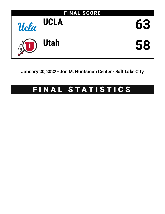

January 20, 2022 • Jon M. Huntsman Center - Salt Lake City

# FINAL STATISTICS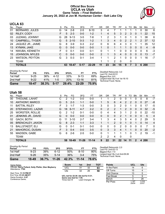#### **Official Box Score UCLA vs Utah Game Totals -- Final Statistics January 20, 2022 at Jon M. Huntsman Center - Salt Lake City**



## **UCLA 63**

| No. | Plaver                | S | Pts      | FG       | 3FG     | FT        | 0R | DR | TR | РF           | A              | TO       | Blk      | Stl | Min        | $+/-$ |
|-----|-----------------------|---|----------|----------|---------|-----------|----|----|----|--------------|----------------|----------|----------|-----|------------|-------|
| 01  | <b>BERNARD, JULES</b> | G | 14       | $2 - 8$  | $2 - 5$ | $8 - 10$  | 3  | 4  |    |              |                |          |          | 0   | 30         | 6     |
| 02  | RILEY, CODY           | F | 5        | $2 - 3$  | $0 - 0$ | $1 - 2$   |    | 4  | 5  | 3            | 2              | 3        | $\Omega$ |     | 22         | 15    |
| 03  | <b>JUZANG, JOHNNY</b> | G | 28       | $9 - 13$ | $3-5$   | 7-8       |    | 2  | 3  |              | 0              |          | 0        | 1   | 38         | 6     |
| 10  | CAMPBELL, TYGER       | G | 5        | $2 - 10$ | $0 - 3$ | $1 - 2$   |    | 3  | 4  | $\mathbf{0}$ | $\overline{2}$ | 2        |          | 2   | 37         | 12    |
| 24  | JAQUEZ JR., JAIME     | G | 8        | $3-9$    | $0 - 3$ | $2 - 2$   | 0  | 6  | 6  | 4            | 3              | $\Omega$ |          | 1   | 35         | 12    |
| 13  | KYMAN, JAKE           | G | 0        | $0 - 0$  | $0 - 0$ | $0 - 0$   |    | 0  |    |              |                | 0        | 0        | 0   | 4          | -9    |
| 14  | NWUBA, KENNETH        | F | O        | $0 - 1$  | $0 - 0$ | $0 - 1$   | 0  | ◀  |    | 0            | 0              | 0        | 0        | 0   | 6          | -3    |
| 15  | <b>JOHNSON, MYLES</b> | С | $\Omega$ | $0 - 0$  | $0 - 0$ | $0 - 0$   | 2  |    | 3  | 4            | 0              | 0        | 0        | 0   | 13         | $-7$  |
| 23  | <b>WATSON, PEYTON</b> | G | 3        | $0 - 3$  | 0-1     | 3-4       |    |    | 2  |              | 0              | $\Omega$ | 0        | 1   | 16         | $-7$  |
|     | TEAM                  |   |          |          |         |           |    |    | 2  | 0            |                | 0        |          |     |            |       |
|     | <b>TOTALS</b>         |   | 63       | 18-47    | $5-17$  | $22 - 29$ | 11 | 23 | 34 | 15           | 9              |          | 3        | 6   | <b>200</b> |       |

| Game                                | 18-47    | 38.3% | $5-17$ | 29.4% | $22 - 29$ | 75.9% |           |
|-------------------------------------|----------|-------|--------|-------|-----------|-------|-----------|
| 2nd Half                            | $9 - 22$ | 41%   | $1-5$  | 20%   | $13 - 16$ | 81%   | La.<br>Te |
| 1st Half                            | $9 - 25$ | 36%   | 4-12   | 33%   | $9 - 13$  | 69%   | Bio       |
| <b>Shooting By Period</b><br>Period | FG       | FG%   | 3FG    | 3FG%  | FТ        | FT%   | De<br>La. |

*Deadball Rebounds:* 3,0 *Last FG:* 2nd-02:51 *Biggest Run:* 8-0 *Largest lead:* By 9 at 1st-16:10 *Technical Fouls:* None.

# **Utah 58**

| No. | Player                  | S | <b>Pts</b> | FG        | 3FG       | FТ        | 0 <sub>R</sub> | DR | TR             | PF            | A  | TO | <b>B</b> lk  | Stl      | Min        | $+/-$          |
|-----|-------------------------|---|------------|-----------|-----------|-----------|----------------|----|----------------|---------------|----|----|--------------|----------|------------|----------------|
| 00  | THIOUNE, LAHAT          | С | 2          | $1 - 2$   | $0-0$     | $0-0$     |                |    | 2              | 0             | 0  |    | 0            | 0        | 8          | $-7$           |
| 10  | <b>ANTHONY, MARCO</b>   | G | 5          | $2 - 3$   | $1 - 1$   | $0 - 0$   | $\mathbf 1$    | 5  | 6              | 4             | 2  | 2  | $\mathbf{0}$ | 0        | 27         | -8             |
| 11  | <b>BATTIN, RILEY</b>    | F | 3          | $1 - 7$   | 1-3       | $0 - 0$   | 3              | 0  | 3              | 2             | 0  |    | 0            | 0        | 17         | $-5$           |
| 20  | STEFANOVIC, LAZAR       | G | 18         | $6 - 11$  | $4 - 7$   | $2 - 2$   | $\Omega$       | 2  | $\overline{2}$ |               | 2  | 0  | $\Omega$     | 0        | 32         | $-5$           |
| 25  | WORSTER, ROLLIE         | G | 2          | $1 - 2$   | $0 - 1$   | $0 - 0$   | $\Omega$       | 4  | 4              | 3.            | 1  | 2  | $\Omega$     | 0        | 22         | $-10$          |
| 01  | JENKINS JR., DAVID      | G | 0          | $0 - 0$   | $0 - 0$   | $0 - 0$   | $\Omega$       | 0  | $\Omega$       | $\mathcal{P}$ |    | 0  | $\mathbf{0}$ | 0        | 5          | $\overline{4}$ |
| 02  | <b>GACH, BOTH</b>       | G | 11         | $3 - 10$  | $2 - 7$   | $3 - 4$   | 1              | 3  | 4              | 3             | 5  | 4  | $\Omega$     | 2        | 29         | 5              |
| 05  | <b>BRENCHLEY, JAXON</b> | G | 8          | $2 - 3$   | $1 - 1$   | $3 - 3$   | 1              |    | $\overline{2}$ | $\Omega$      | 1  | 0  |              | 0        | 14         | 4              |
| 13  | <b>BALLSTAEDT, ELI</b>  | G | 0          | $0 - 1$   | $0 - 1$   | $0 - 0$   | $\mathbf{0}$   | 0  | 0              | 2             | 0  | 0  | 0            | 0        | 7          | 0              |
| 21  | MAHORCIC, DUSAN         | F | 3          | $0 - 4$   | $0 - 0$   | $3 - 5$   | $\Omega$       | 3  | 3              | 4             | 1  |    | $\mathbf{0}$ | $\Omega$ | 20         | $-2$           |
| 55  | MADSEN, GABE            | G | 6          | $2-6$     | $2 - 5$   | $0 - 0$   | $\Omega$       | 1  | 1              |               | 1  | 0  |              | 2        | 19         | $-1$           |
|     | <b>TEAM</b>             |   |            |           |           |           | 2              | 2  | 4              | $\Omega$      |    | 0  |              |          |            |                |
|     | <b>TOTALS</b>           |   | 58         | $18 - 49$ | $11 - 26$ | $11 - 14$ | 9              | 22 | 31             | 22            | 14 | 11 | $\mathbf{2}$ | 4        | <b>200</b> |                |

| Game                                | 18-49    | 36.7% | $11 - 26$ | 42.3% | $11 - 14$ | 78.6% |
|-------------------------------------|----------|-------|-----------|-------|-----------|-------|
| 2nd Half                            | $9 - 26$ | 35%   | $5 - 14$  | 36%   | $3 - 4$   | 75%   |
| 1st Half                            | $9 - 23$ | 39%   | հ-12      | 50%   | 8-10      | 80%   |
| <b>Shooting By Period</b><br>Period | FG       | FG%   | 3FG       | 3FG%  | FТ        | FT%   |

*Deadball Rebounds:* 2,0 *Last FG:* 2nd-02:13 *Biggest Run:* 7-0 *Largest lead:* By 4 at 2nd-09:26 *Technical Fouls:* None.

| Game Notes:                                                                | <b>Score</b>                                    | 1st | 2 <sub>nd</sub>  | <b>TOT</b> | <b>Points</b>     | <b>UCL</b>     | Ute            |
|----------------------------------------------------------------------------|-------------------------------------------------|-----|------------------|------------|-------------------|----------------|----------------|
| Officials: Gerry Pollard, Kelly Pfeifer, Glen Mayberry<br>Attendance: 7785 | <b>UCL</b>                                      | 31  | 32               | 63         | In the Paint      | 14             |                |
|                                                                            | Ute                                             | 32  | 26               | 58         | Off Turns         | 15             |                |
| Start Time: 11:15 PM ET                                                    |                                                 |     |                  |            | 2nd Chance        | 13             |                |
| End Time: 01:23 AM ET<br>Game Duration: 2:07                               | UCL led for 22:39. Ute led for 9:31.            |     |                  |            | <b>Fast Break</b> |                |                |
| Conference Game:                                                           | Game was tied for 7:49.<br>Times tied: <b>9</b> |     | Lead Changes: 10 |            | Bench             |                | 28             |
|                                                                            |                                                 |     |                  |            | Per Poss          | l.167<br>29/54 | 1.018<br>23/57 |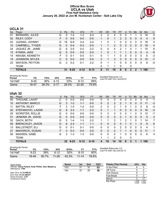#### **Official Box Score UCLA vs Utah First Half Statistics Only January 20, 2022 at Jon M. Huntsman Center - Salt Lake City**



# **UCLA 31**

| No. | Player                | S  | <b>Pts</b>    | <b>FG</b> | 3FG      | <b>FT</b> | <b>OR</b> | <b>DR</b> | <b>TR</b> | PF            | A | TO | <b>Blk</b>     | Stl      | Min            | $+/-$ |
|-----|-----------------------|----|---------------|-----------|----------|-----------|-----------|-----------|-----------|---------------|---|----|----------------|----------|----------------|-------|
| 01  | <b>BERNARD, JULES</b> | G  | 5             | $1 - 4$   | $1 - 2$  | $2 - 4$   | 2         | 2         | 4         | 0             | 0 |    |                | 0        | 16             | 0     |
| 02  | RILEY, CODY           | F. | 0             | $0 - 0$   | $0 - 0$  | $0 - 0$   |           | 0         | 1         | $\mathcal{P}$ | 2 | 0  | $\Omega$       | $\Omega$ | 4              | 9     |
| 03  | <b>JUZANG, JOHNNY</b> | G  | 18            | $6-9$     | $3 - 4$  | $3 - 4$   | 1.        | 0         |           | 0             | 0 | 0  | 0              | 0        | 18             | 0     |
| 10  | CAMPBELL, TYGER       | G  | 0             | $0 - 4$   | $0 - 3$  | $0 - 0$   |           |           | 2         | $\Omega$      | 2 | 2  | $\mathbf{0}$   | 0        | 19             | 4     |
| 24  | JAQUEZ JR., JAIME     | G  | 6             | $2 - 5$   | $0 - 2$  | $2 - 2$   | 0         | 4         | 4         | 2             |   | 0  |                |          | 15             | 6     |
| 13  | KYMAN, JAKE           | G  | $\Omega$      | $0 - 0$   | $0 - 0$  | $0 - 0$   |           | 0         |           |               |   | 0  | $\overline{0}$ | 0        | $\overline{4}$ | -9    |
| 14  | NWUBA, KENNETH        | F. | 0             | $0 - 1$   | $0 - 0$  | $0 - 1$   | 0         |           |           | 0             | 0 | 0  | 0              | 0        | 6              | -3    |
| 15  | <b>JOHNSON, MYLES</b> | C  | 0             | $0 - 0$   | $0 - 0$  | $0 - 0$   | 2         |           | 3         | 3             | 0 | 0  | $\Omega$       | 0        | 10             | $-7$  |
| 23  | <b>WATSON, PEYTON</b> | G  | $\mathcal{P}$ | $0 - 2$   | $0 - 1$  | $2 - 2$   | 0         |           |           | $\Omega$      | 0 | 0  | 0              | $\Omega$ | 8              | -5    |
|     | TEAM                  |    |               |           |          |           | 0         |           |           | 0             |   | 0  |                |          |                |       |
|     | <b>TOTALS</b>         |    | 31            | $9 - 25$  | $4 - 12$ | $9 - 13$  | 8         | 11        | 19        | 8             | 6 | 3  | 2              |          | 100            |       |

| <b>Shooting By Period</b><br>Period | FG       | FG%   | 3FG      | 3FG%  | FT.       | FT%   | Deadball Rebounds: 3,0<br>Last FG Half: UCL 2nd-02:51 |
|-------------------------------------|----------|-------|----------|-------|-----------|-------|-------------------------------------------------------|
| 1st Half                            | $9 - 25$ | 36%   | 4-12     | 33%   | $9 - 13$  | 69%   |                                                       |
| Game                                | 18-47    | 38.3% | $5 - 17$ | 29.4% | $22 - 29$ | 75.9% |                                                       |

# **Utah 32**

| No. | Player                  | S  | <b>Pts</b>      | <b>FG</b> | 3FG      | <b>FT</b> | <b>OR</b>      | DR             | TR             | PF            | A        | <b>TO</b> | <b>B</b> lk  | Stl      | Min | $+/-$          |
|-----|-------------------------|----|-----------------|-----------|----------|-----------|----------------|----------------|----------------|---------------|----------|-----------|--------------|----------|-----|----------------|
| 00  | THIOUNE, LAHAT          |    | 0               | $0 - 0$   | $0-0$    | $0-0$     | 0              | 0              | 0              | o             | 0        | 0         | 0            | 0        | 5   | $-1$           |
| 10  | ANTHONY, MARCO          | G  | 3               | $1 - 2$   | $1 - 1$  | $0 - 0$   | $\Omega$       | 2              | 2              | $\mathcal{P}$ | 1        | 0         | $\mathbf{0}$ | $\Omega$ | 11  | $-3$           |
| 11  | <b>BATTIN, RILEY</b>    | F  | 3               | $1 - 4$   | $1 - 2$  | $0 - 0$   | $\overline{2}$ | 0              | 2              |               | 0        |           | 0            | 0        | 8   | -4             |
| 20  | STEFANOVIC, LAZAR       | G  | 9               | $3 - 3$   | $1 - 1$  | $2 - 2$   | $\Omega$       |                |                | 0             | 2        | 0         | $\mathbf{0}$ | 0        | 16  | $-3$           |
| 25  | <b>WORSTER, ROLLIE</b>  | G  | 0               | $0 - 0$   | $0 - 0$  | $0-0$     | 0              | 3              | 3              | 0             | 0        |           | 0            | 0        | 12  | $-7$           |
| 01  | JENKINS JR., DAVID      | G  | 0               | $0 - 0$   | $0 - 0$  | $0 - 0$   | $\Omega$       | 0              | $\Omega$       | $\mathcal{P}$ | 1        | 0         | $\Omega$     | $\Omega$ | 5   | $\overline{4}$ |
| 02  | <b>GACH, BOTH</b>       | G  | 5               | $1 - 4$   | $1 - 3$  | $2 - 2$   | 1              |                | $\overline{2}$ |               | 2        |           | 0            |          | 14  | 7              |
| 05  | <b>BRENCHLEY, JAXON</b> | G  | 6               | $2 - 3$   | $1 - 1$  | $1 - 1$   | $\Omega$       | 0              | 0              | 0             | 1        | 0         |              | $\Omega$ | 9   | 6              |
| 13  | <b>BALLSTAEDT, ELI</b>  | G  | 0               | $0 - 1$   | $0 - 1$  | $0 - 0$   | $\Omega$       | 0              | $\Omega$       | 2             | 0        | 0         | 0            | 0        | 4   | 1              |
| 21  | MAHORCIC, DUSAN         | F. | 3               | $0 - 3$   | $0 - 0$  | $3 - 5$   | $\Omega$       | $\overline{2}$ | $\overline{2}$ |               |          | 0         | $\Omega$     | 0        | 11  | $\mathbf{1}$   |
| 55  | MADSEN, GABE            | G  | 3               | $1 - 3$   | 1-3      | $0 - 0$   | $\Omega$       | 0              | $\Omega$       |               | $\Omega$ | 0         | 0            | 0        | 6   | 4              |
|     | <b>TEAM</b>             |    |                 |           |          |           |                |                | 2              | $\Omega$      |          | 0         |              |          |     |                |
|     | <b>TOTALS</b>           |    | 32 <sub>2</sub> | $9 - 23$  | $6 - 12$ | $8 - 10$  | 4              | 10             | 14             | 10            | 8        | 3         |              |          | 100 |                |

| <b>Shooting By Period</b><br>Period | FG       | FG%   | 3FG       | 3FG%  | FТ        | FT%   | Deac<br>∟ast |
|-------------------------------------|----------|-------|-----------|-------|-----------|-------|--------------|
| 1st Half                            | $9 - 23$ | 39%   | $6-12$    | 50%   | 8-10      | 80%   |              |
| Game                                | 18-49    | 36.7% | $11 - 26$ | 42.3% | $11 - 14$ | 78.6% |              |

*Deadball Rebounds:* 2,0 *Last FG Half:* Ute 2nd-02:13

| Game Notes:                                                                | <b>Score</b> | 1st | 2 <sub>nd</sub> | <b>TOT</b> | <b>Points (This Period)</b> | <b>UCL</b>    | Ute           |
|----------------------------------------------------------------------------|--------------|-----|-----------------|------------|-----------------------------|---------------|---------------|
| Officials: Gerry Pollard, Kelly Pfeifer, Glen Mayberry<br>Attendance: 7785 | <b>UCL</b>   | 31  | 32              | 63         | In the Paint                |               |               |
|                                                                            | Ute          | 32  | 26              | 58         | Off Turns                   |               |               |
| Start Time: 11:15 PM ET                                                    |              |     |                 |            | 2nd Chance                  |               |               |
| End Time: 01:23 AM ET<br>Game Duration: 2:07                               |              |     |                 |            | <b>Fast Break</b>           |               | ົ             |
| Conference Game:                                                           |              |     |                 |            | Bench                       |               |               |
|                                                                            |              |     |                 |            | Per Poss                    | .240<br>14/25 | .231<br>13/26 |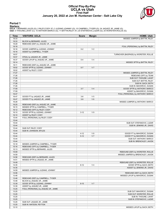### **Official Play-By-Play UCLA vs Utah First Half January 20, 2022 at Jon M. Huntsman Center - Salt Lake City**



#### **Period 1**

<mark>Starters:</mark><br>UCLA: 1 BERNARD,JULES (G); 2 RILEY,CODY (F); 3 JUZANG,JOHNNY (G); 10 CAMPBELL,TYGER (G); 24 JAQUEZ JR.,JAIME (G);<br>Utah: 0 THIOUNE,LAHAT (C); 10 ANTHONY,MARCO (G); 11 BATTIN,RILEY (F); 20 STEFANOVIC,LAZAR (G); 2

| <b>Time</b>    | <b>VISITORS: UCLA</b>                | <b>Score</b> | <b>Margin</b>  | <b>HOME: Utah</b>                     |
|----------------|--------------------------------------|--------------|----------------|---------------------------------------|
| 19:33          |                                      |              |                | MISSED JUMPER by BATTIN, RILEY        |
| 19:33          | BLOCK by BERNARD, JULES              |              |                |                                       |
| 19:29          | REBOUND (DEF) by JAQUEZ JR., JAIME   |              |                |                                       |
| 19:18          |                                      |              |                | FOUL (PERSONAL) by BATTIN, RILEY      |
| 19:16          | GOOD! JUMPER by JUZANG, JOHNNY       | $0 - 2$      | V <sub>2</sub> |                                       |
| 19:16          | ASSIST by CAMPBELL, TYGER            |              |                |                                       |
| 18:57          |                                      |              |                | TURNOVER (BADPASS) by WORSTER, ROLLIE |
| 18:57          | STEAL by JAQUEZ JR., JAIME           |              |                |                                       |
| 18:37          | GOOD! LAYUP by JAQUEZ JR., JAIME     | $0 - 4$      | V <sub>4</sub> |                                       |
| 18:14          |                                      |              |                | MISSED 3PTR by BATTIN, RILEY          |
| 18:11          | REBOUND (DEF) by JAQUEZ JR., JAIME   | $0 - 7$      | V <sub>7</sub> |                                       |
| 18:02<br>18:02 | GOOD! 3PTR by JUZANG, JOHNNY         |              |                |                                       |
| 17:27          | ASSIST by RILEY, CODY                |              |                | MISSED JUMPER by BATTIN, RILEY        |
| 17:26          |                                      |              |                | REBOUND (OFF) by TEAM                 |
| 17:26          |                                      |              |                | SUB OUT: THIOUNE, LAHAT               |
| 17:26          |                                      |              |                | SUB OUT: BATTIN, RILEY                |
| 17:26          |                                      |              |                | SUB IN: GACH, BOTH                    |
| 17:26          |                                      |              |                | SUB IN: MAHORCIC, DUSAN               |
| 17:09          |                                      | $3 - 7$      | V <sub>4</sub> | GOOD! 3PTR by ANTHONY, MARCO          |
| 17:09          |                                      |              |                | ASSIST by MAHORCIC, DUSAN             |
| 16:47          |                                      |              |                | FOUL (PERSONAL) by ANTHONY, MARCO     |
| 16:47          | GOOD! FT by JAQUEZ JR., JAIME        | $3 - 8$      | V <sub>5</sub> |                                       |
| 16:47          | GOOD! FT by JAQUEZ JR., JAIME        | $3-9$        | $V_6$          |                                       |
| 16:28          |                                      |              |                | MISSED JUMPER by ANTHONY, MARCO       |
| 16:25          | REBOUND (DEF) by JAQUEZ JR., JAIME   |              |                |                                       |
| 16:15          | MISSED 3PTR by CAMPBELL, TYGER       |              |                |                                       |
| 16:12          | REBOUND (OFF) by RILEY, CODY         |              |                |                                       |
| 16:10          | GOOD! 3PTR by JUZANG, JOHNNY         | $3 - 12$     | V <sub>9</sub> |                                       |
| 16:10          | ASSIST by RILEY, CODY                |              |                |                                       |
| 15:44          | FOUL (PERSONAL) by RILEY, CODY       |              |                |                                       |
| 15:44          |                                      |              |                |                                       |
| 15:44          |                                      |              |                | SUB OUT: STEFANOVIC, LAZAR            |
| 15:44          |                                      |              |                | SUB IN: JENKINS JR., DAVID            |
| 15:44          | SUB OUT: RILEY, CODY                 |              |                |                                       |
| 15:44          | SUB IN: JOHNSON, MYLES               |              |                |                                       |
| 15:44          |                                      | $4 - 12$     | V8             | GOOD! FT by MAHORCIC, DUSAN           |
| 15:44          |                                      | $5 - 12$     | V <sub>7</sub> | GOOD! FT by MAHORCIC, DUSAN           |
| 15:44<br>15:44 |                                      |              |                | SUB OUT: ANTHONY, MARCO               |
| 15:18          | MISSED JUMPER by CAMPBELL, TYGER     |              |                | SUB IN: BRENCHLEY, JAXON              |
| 15:16          | REBOUND (OFF) by CAMPBELL, TYGER     |              |                |                                       |
| 15:13          | MISSED 3PTR by BERNARD, JULES        |              |                |                                       |
| 15:09          |                                      |              |                | REBOUND (DEF) by WORSTER, ROLLIE      |
| 14:59          |                                      |              |                | MISSED JUMPER by BRENCHLEY, JAXON     |
| 14:56          | REBOUND (DEF) by BERNARD, JULES      |              |                |                                       |
| 14:51          | MISSED 3PTR by JAQUEZ JR., JAIME     |              |                |                                       |
| 14:49          |                                      |              |                | REBOUND (DEF) by WORSTER, ROLLIE      |
| 14:35          |                                      | $8 - 12$     | V <sub>4</sub> | GOOD! 3PTR by GACH, BOTH              |
| 14:35          |                                      |              |                | ASSIST by JENKINS JR., DAVID          |
| 14:09          | MISSED JUMPER by JUZANG, JOHNNY      |              |                |                                       |
| 14:06          |                                      |              |                | REBOUND (DEF) by GACH, BOTH           |
| 13:48          |                                      |              |                | MISSED LAYUP by MAHORCIC, DUSAN       |
| 13:48          | REBOUND (DEF) by CAMPBELL, TYGER     |              |                |                                       |
| 13:48          | BLOCK by JAQUEZ JR., JAIME           |              |                |                                       |
| 13:39          | GOOD! 3PTR by JUZANG, JOHNNY         | $8 - 15$     | V <sub>7</sub> |                                       |
| 13:39          | ASSIST by JAQUEZ JR., JAIME          |              |                |                                       |
| 13:25          | FOUL (PERSONAL) by JAQUEZ JR., JAIME |              |                |                                       |
| 13:25          |                                      |              |                | SUB OUT: MAHORCIC, DUSAN              |
| 13:25          |                                      |              |                | SUB OUT: WORSTER, ROLLIE              |
| 13:25          |                                      |              |                | SUB IN: THIOUNE, LAHAT                |
| 13:25          |                                      |              |                | SUB IN: STEFANOVIC, LAZAR             |
| 13:25          | SUB OUT: JAQUEZ JR., JAIME           |              |                |                                       |
| 13:25          | SUB IN: WATSON, PEYTON               |              |                |                                       |
| 13:10          |                                      |              |                | MISSED LAYUP by GACH, BOTH            |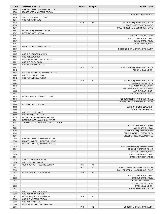| <b>Time</b>    | <b>VISITORS: UCLA</b>                                             | <b>Score</b> | <b>Margin</b>  | <b>HOME: Utah</b>                                      |
|----------------|-------------------------------------------------------------------|--------------|----------------|--------------------------------------------------------|
| 13:06          | REBOUND (DEF) by WATSON, PEYTON                                   |              |                |                                                        |
| 12:56          | MISSED 3PTR by WATSON, PEYTON                                     |              |                |                                                        |
| 12:54          |                                                                   |              |                | REBOUND (DEF) by TEAM                                  |
| 12:54          | SUB OUT: CAMPBELL, TYGER                                          |              |                |                                                        |
| 12:54          | SUB IN: KYMAN, JAKE                                               |              |                |                                                        |
| 12:28          |                                                                   | $11 - 15$    | V <sub>4</sub> | GOOD! 3PTR by BRENCHLEY, JAXON                         |
| 12:28          |                                                                   |              |                | ASSIST by STEFANOVIC, LAZAR                            |
| 12:07          |                                                                   |              |                | FOUL (PERSONAL) by JENKINS JR., DAVID                  |
| 12:07          | MISSED FT by BERNARD, JULES                                       |              |                |                                                        |
| 12:07<br>12:07 | REBOUND (OFF) by TEAM                                             |              |                |                                                        |
| 12:07          |                                                                   |              |                | SUB OUT: THIOUNE, LAHAT<br>SUB OUT: JENKINS JR., DAVID |
| 12:07          |                                                                   |              |                | SUB IN: BATTIN, RILEY                                  |
| 12:07          |                                                                   |              |                | SUB IN: MADSEN, GABE                                   |
| 12:07          | MISSED FT by BERNARD, JULES                                       |              |                |                                                        |
| 12:07          |                                                                   |              |                | REBOUND (DEF) by STEFANOVIC, LAZAR                     |
| 11:57          |                                                                   |              |                |                                                        |
| 11:57          | SUB OUT: JOHNSON, MYLES                                           |              |                |                                                        |
| 11:57          | SUB IN: RILEY, CODY                                               |              |                |                                                        |
| 11:51          | FOUL (PERSONAL) by RILEY, CODY                                    |              |                |                                                        |
| 11:51          | SUB OUT: RILEY, CODY                                              |              |                |                                                        |
| 11:51          | SUB IN: JOHNSON, MYLES                                            |              |                |                                                        |
| 11:42          |                                                                   | $13 - 15$    | V <sub>2</sub> | GOOD! LAYUP by BRENCHLEY, JAXON                        |
| 11:42          |                                                                   |              |                | ASSIST by GACH, BOTH                                   |
| 11:42          | FOUL (PERSONAL) by JOHNSON, MYLES                                 |              |                |                                                        |
| 11:42          | SUB OUT: JUZANG, JOHNNY                                           |              |                |                                                        |
| 11:42          | SUB IN: CAMPBELL, TYGER                                           |              |                |                                                        |
| 11:42          |                                                                   | $14 - 15$    | V <sub>1</sub> | GOOD! FT by BRENCHLEY, JAXON                           |
| 11:42          |                                                                   |              |                | SUB OUT: BATTIN, RILEY                                 |
| 11:42          |                                                                   |              |                | SUB IN: MAHORCIC, DUSAN                                |
| 11:23          |                                                                   |              |                | FOUL (PERSONAL) by GACH, BOTH                          |
| 11:23          |                                                                   |              |                | SUB OUT: GACH, BOTH                                    |
| 11:23          |                                                                   |              |                | SUB IN: WORSTER, ROLLIE                                |
| 11:19          | MISSED 3PTR by CAMPBELL, TYGER                                    |              |                |                                                        |
| 11:17          |                                                                   |              |                | REBOUND (DEF) by WORSTER, ROLLIE                       |
| 11:02          |                                                                   |              |                | MISSED JUMPER by MAHORCIC, DUSAN                       |
| 11:00          | REBOUND (DEF) by TEAM                                             |              |                |                                                        |
| 11:00          |                                                                   |              |                | SUB OUT: BRENCHLEY, JAXON                              |
| 11:00          |                                                                   |              |                | SUB IN: BALLSTAEDT, ELI                                |
| 11:00          | SUB OUT: KYMAN, JAKE                                              |              |                |                                                        |
| 11:00<br>10:34 | SUB IN: JAQUEZ JR., JAIME                                         |              |                |                                                        |
| 10:31          | MISSED LAYUP by WATSON, PEYTON<br>REBOUND (OFF) by JOHNSON, MYLES |              |                |                                                        |
| 10:27          | TURNOVER (BADPASS) by CAMPBELL, TYGER                             |              |                |                                                        |
| 10:27          |                                                                   |              |                | SUB OUT: MAHORCIC, DUSAN                               |
| 10:27          |                                                                   |              |                | SUB IN: BATTIN, RILEY                                  |
| 10:08          |                                                                   |              |                | MISSED 3PTR by MADSEN, GABE                            |
| 10:05          |                                                                   |              |                | REBOUND (OFF) by BATTIN, RILEY                         |
| 10:01          |                                                                   |              |                | MISSED 3PTR by BALLSTAEDT, ELI                         |
| 09:58          | REBOUND (DEF) by JOHNSON, MYLES                                   |              |                |                                                        |
| 09:46          | MISSED JUMPER by JAQUEZ JR., JAIME                                |              |                |                                                        |
| 09:44          | REBOUND (OFF) by JOHNSON, MYLES                                   |              |                |                                                        |
| 09:35          |                                                                   |              |                | FOUL (PERSONAL) by MADSEN, GABE                        |
| 09:34          |                                                                   |              |                | SUB OUT: WORSTER, ROLLIE                               |
| 09:34          |                                                                   |              |                | SUB OUT: MADSEN, GABE                                  |
| 09:34          |                                                                   |              |                | SUB IN: JENKINS JR., DAVID                             |
| 09:34          |                                                                   |              |                | SUB IN: ANTHONY, MARCO                                 |
| 09:34          | SUB OUT: BERNARD, JULES                                           |              |                |                                                        |
| 09:34          | SUB IN: JUZANG, JOHNNY                                            |              |                |                                                        |
| 09:17          | GOOD! JUMPER by JUZANG, JOHNNY                                    | $14 - 17$    | $V_3$          |                                                        |
| 08:47          |                                                                   | $16-17$      | V <sub>1</sub> | GOOD! JUMPER by STEFANOVIC, LAZAR                      |
| 08:23          |                                                                   |              |                | FOUL (PERSONAL) by JENKINS JR., DAVID                  |
| 08:23          | GOOD! FT by WATSON, PEYTON                                        | $16 - 18$    | V <sub>2</sub> |                                                        |
| 08:23          |                                                                   |              |                | SUB OUT: JENKINS JR., DAVID                            |
| 08:23          |                                                                   |              |                | SUB OUT: BATTIN, RILEY                                 |
| 08:23          |                                                                   |              |                | SUB OUT: BALLSTAEDT, ELI                               |
| 08:23          |                                                                   |              |                | SUB IN: THIOUNE, LAHAT                                 |
| 08:23          |                                                                   |              |                | SUB IN: GACH, BOTH                                     |
| 08:23          |                                                                   |              |                | SUB IN: BRENCHLEY, JAXON                               |
| 08:23          | SUB OUT: JOHNSON, MYLES                                           |              |                |                                                        |
| 08:23          | SUB IN: NWUBA, KENNETH                                            |              |                |                                                        |
| 08:23          | GOOD! FT by WATSON, PEYTON                                        | 16-19        | $V_3$          |                                                        |
| 08:23          | SUB OUT: WATSON, PEYTON                                           |              |                |                                                        |
| 08:23<br>08:04 | SUB IN: KYMAN, JAKE<br>FOUL (PERSONAL) by KYMAN, JAKE             |              |                |                                                        |
| 08:04          |                                                                   | 17-19        | V <sub>2</sub> | GOOD! FT by STEFANOVIC, LAZAR                          |
|                |                                                                   |              |                |                                                        |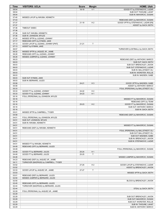| Time           | <b>VISITORS: UCLA</b>                                        | <b>Score</b> | <b>Margin</b>  | <b>HOME: Utah</b>                                              |
|----------------|--------------------------------------------------------------|--------------|----------------|----------------------------------------------------------------|
| 08:04          |                                                              | 18-19        | V <sub>1</sub> | GOOD! FT by STEFANOVIC, LAZAR                                  |
| 08:04          |                                                              |              |                | SUB OUT: THIOUNE, LAHAT                                        |
| 08:04          |                                                              |              |                | SUB IN: MAHORCIC, DUSAN                                        |
| 07:45          | MISSED LAYUP by NWUBA, KENNETH                               |              |                |                                                                |
| 07:43          |                                                              |              |                | REBOUND (DEF) by MAHORCIC, DUSAN                               |
| 07:37          |                                                              | $21 - 19$    | H <sub>2</sub> | GOOD! 3PTR by STEFANOVIC, LAZAR [FB]                           |
| 07:37<br>07:36 | TIMEOUT 30SEC                                                |              |                | ASSIST by GACH, BOTH                                           |
| 07:36          |                                                              |              |                |                                                                |
| 07:36          | SUB OUT: NWUBA, KENNETH                                      |              |                |                                                                |
| 07:36          | SUB IN: JOHNSON, MYLES                                       |              |                |                                                                |
| 07:20          | MISSED 3PTR by JUZANG, JOHNNY                                |              |                |                                                                |
| 07:17          | REBOUND (OFF) by KYMAN, JAKE                                 |              |                |                                                                |
| 07:13          | GOOD! LAYUP by JUZANG, JOHNNY [PNT]                          | $21 - 21$    | $\top$         |                                                                |
| 07:13          | ASSIST by KYMAN, JAKE                                        |              |                |                                                                |
| 06:57          |                                                              |              |                | TURNOVER (LOSTBALL) by GACH, BOTH                              |
| 06:32          | MISSED 3PTR by JAQUEZ JR., JAIME                             |              |                |                                                                |
| 06:28          | REBOUND (OFF) by JUZANG, JOHNNY                              |              |                |                                                                |
| 06:26          | MISSED JUMPER by JUZANG, JOHNNY                              |              |                |                                                                |
| 06:23          |                                                              |              |                | REBOUND (DEF) by ANTHONY, MARCO                                |
| 06:03          |                                                              |              |                | SUB OUT: GACH, BOTH                                            |
| 06:03          |                                                              |              |                | SUB OUT: BRENCHLEY, JAXON                                      |
| 06:03          |                                                              |              |                | SUB OUT: STEFANOVIC, LAZAR                                     |
| 06:03          |                                                              |              |                | SUB IN: BALLSTAEDT, ELI                                        |
| 06:03<br>06:03 |                                                              |              |                | SUB IN: WORSTER, ROLLIE<br>SUB IN: MADSEN, GABE                |
| 06:03          | SUB OUT: KYMAN, JAKE                                         |              |                |                                                                |
| 06:03          | SUB IN: BERNARD, JULES                                       |              |                |                                                                |
| 05:58          |                                                              | $24 - 21$    | $H_3$          | GOOD! 3PTR by MADSEN, GABE                                     |
| 05:58          |                                                              |              |                | ASSIST by ANTHONY, MARCO                                       |
| 05:33          |                                                              |              |                | FOUL (PERSONAL) by BALLSTAEDT, ELI                             |
| 05:33          | GOOD! FT by JUZANG, JOHNNY                                   | 24-22        | H <sub>2</sub> |                                                                |
| 05:33          | GOOD! FT by JUZANG, JOHNNY                                   | 24-23        | H <sub>1</sub> |                                                                |
| 05:16          | FOUL (PERSONAL) by JOHNSON, MYLES                            |              |                |                                                                |
| 05:16          |                                                              |              |                | MISSED FT by MAHORCIC, DUSAN                                   |
| 05:16          |                                                              |              |                | REBOUND (OFF) by TEAM                                          |
| 05:16          |                                                              | 25-23        | H <sub>2</sub> | GOOD! FT by MAHORCIC, DUSAN                                    |
| 05:16          |                                                              |              |                | SUB OUT: ANTHONY, MARCO                                        |
| 05:16          |                                                              |              |                | SUB IN: GACH, BOTH                                             |
| 05:01          | MISSED 3PTR by CAMPBELL, TYGER                               |              |                |                                                                |
| 04:58          |                                                              |              |                | REBOUND (DEF) by MAHORCIC, DUSAN                               |
| 04:51<br>04:51 | FOUL (PERSONAL) by JOHNSON, MYLES<br>SUB OUT: JOHNSON, MYLES |              |                |                                                                |
| 04:51          | SUB IN: NWUBA, KENNETH                                       |              |                |                                                                |
| 04:51          |                                                              |              |                | MISSED FT by MAHORCIC, DUSAN                                   |
| 04:51          | REBOUND (DEF) by NWUBA, KENNETH                              |              |                |                                                                |
| 04:51          |                                                              |              |                | FOUL (PERSONAL) by BALLSTAEDT, ELI                             |
| 04:51          |                                                              |              |                | SUB OUT: BALLSTAEDT, ELI                                       |
| 04:51          |                                                              |              |                | SUB OUT: MADSEN, GABE                                          |
| 04:51          |                                                              |              |                | SUB IN: BRENCHLEY, JAXON                                       |
| 04:51          |                                                              |              |                | SUB IN: STEFANOVIC, LAZAR                                      |
| 04:51          | MISSED FT by NWUBA, KENNETH                                  |              |                |                                                                |
| 04:49          | REBOUND (OFF) by BERNARD, JULES                              |              |                |                                                                |
| 04:49          |                                                              |              |                | FOUL (PERSONAL) by MAHORCIC, DUSAN                             |
| 04:49          | GOOD! FT by BERNARD, JULES                                   | 25-24        | H <sub>1</sub> |                                                                |
| 04:49          | GOOD! FT by BERNARD, JULES                                   | 25-25        | $\top$         |                                                                |
| 04:26          |                                                              |              |                | MISSED JUMPER by MAHORCIC, DUSAN                               |
| 04:23          | REBOUND (DEF) by JAQUEZ JR., JAIME                           |              |                |                                                                |
| 04:11          | TURNOVER (BADPASS) by CAMPBELL, TYGER                        |              |                |                                                                |
| 03:52<br>03:52 |                                                              | 27-25        | H <sub>2</sub> | GOOD! LAYUP by STEFANOVIC, LAZAR<br>ASSIST by BRENCHLEY, JAXON |
| 03:33          | GOOD! LAYUP by JAQUEZ JR., JAIME                             | 27-27        | $\top$         |                                                                |
| 03:03          |                                                              |              |                | MISSED 3PTR by GACH, BOTH                                      |
| 03:01          | REBOUND (DEF) by BERNARD, JULES                              |              |                |                                                                |
| 02:50          | MISSED JUMPER by BERNARD, JULES                              |              |                |                                                                |
| 02:50          |                                                              |              |                | BLOCK by BRENCHLEY, JAXON                                      |
| 02:45          | REBOUND (OFF) by BERNARD, JULES                              |              |                |                                                                |
| 02:44          | TURNOVER (BADPASS) by BERNARD, JULES                         |              |                |                                                                |
| 02:44          |                                                              |              |                | STEAL by GACH, BOTH                                            |
| 02:29          | FOUL (PERSONAL) by JAQUEZ JR., JAIME                         |              |                |                                                                |
| 02:29          |                                                              |              |                |                                                                |
| 02:29          |                                                              |              |                | SUB OUT: BRENCHLEY, JAXON                                      |
| 02:29          |                                                              |              |                | SUB OUT: MAHORCIC, DUSAN                                       |
| 02:29          |                                                              |              |                | SUB OUT: WORSTER, ROLLIE                                       |
| 02:29          |                                                              |              |                | SUB IN: THIOUNE, LAHAT                                         |
| 02:29          |                                                              |              |                | SUB IN: ANTHONY, MARCO                                         |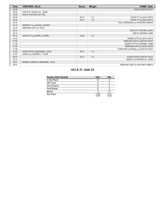| Time  | <b>VISITORS: UCLA</b>           | <b>Score</b> | <b>Margin</b>  | <b>HOME: Utah</b>                    |
|-------|---------------------------------|--------------|----------------|--------------------------------------|
| 02:29 |                                 |              |                | SUB IN: BATTIN, RILEY                |
| 02:29 | SUB OUT: JAQUEZ JR., JAIME      |              |                |                                      |
| 02:29 | SUB IN: WATSON, PEYTON          |              |                |                                      |
| 02:29 |                                 | 28-27        | H <sub>1</sub> | GOOD! FT by GACH, BOTH               |
| 02:29 |                                 | 29-27        | H <sub>2</sub> | GOOD! FT by GACH, BOTH               |
| 02:10 |                                 |              |                | FOUL (PERSONAL) by ANTHONY, MARCO    |
| 02:10 | MISSED FT by JUZANG, JOHNNY     |              |                |                                      |
| 02:10 | REBOUND (OFF) by TEAM           |              |                |                                      |
| 02:10 |                                 |              |                | SUB OUT: THIOUNE, LAHAT              |
| 02:10 |                                 |              |                | SUB IN: MADSEN, GABE                 |
| 02:10 | GOOD! FT by JUZANG, JOHNNY      | 29-28        | H <sub>1</sub> |                                      |
| 01:42 |                                 |              |                | MISSED 3PTR by GACH, BOTH            |
| 01:40 |                                 |              |                | REBOUND (OFF) by BATTIN, RILEY       |
| 01:38 |                                 |              |                | MISSED 3PTR by MADSEN, GABE          |
| 01:35 |                                 |              |                | REBOUND (OFF) by GACH, BOTH          |
| 01:28 |                                 |              |                | TURNOVER (LOSTBALL) by BATTIN, RILEY |
| 01:03 | GOOD! 3PTR by BERNARD, JULES    | 29-31        | V <sub>2</sub> |                                      |
| 01:03 | ASSIST by CAMPBELL, TYGER       |              |                |                                      |
| 00:37 |                                 | $32 - 31$    | H <sub>1</sub> | GOOD! 3PTR by BATTIN, RILEY          |
| 00:37 |                                 |              |                | ASSIST by STEFANOVIC, LAZAR          |
| 00:01 | MISSED JUMPER by BERNARD, JULES |              |                |                                      |
| 00:01 |                                 |              |                | REBOUND (DEF) by ANTHONY, MARCO      |

# **UCLA 31, Utah 32**

| Points (This Period) | <b>UCL</b>     | Ute            |
|----------------------|----------------|----------------|
| In the Paint         | 6              |                |
| Off Turns            |                |                |
| 2nd Chance           |                |                |
| Fast Break           |                |                |
| Bench                |                | 17             |
| Per Poss             | 1.240<br>14/25 | 1.231<br>13/26 |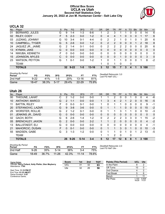#### **Official Box Score UCLA vs Utah Second Half Statistics Only January 20, 2022 at Jon M. Huntsman Center - Salt Lake City**



# **UCLA 32**

| No. | Plaver                | S | <b>Pts</b> | FG      | 3FG     | <b>FT</b> | <b>OR</b> | <b>DR</b> | <b>TR</b> | PF | A            | TO | <b>Blk</b>   | Stl      | Min      | $+/-$        |
|-----|-----------------------|---|------------|---------|---------|-----------|-----------|-----------|-----------|----|--------------|----|--------------|----------|----------|--------------|
| 01  | BERNARD, JULES        | G | 9          | 1-4     | 1-3     | $6 - 6$   |           | 2         | 3         |    |              | 0  | 0            | 0        | 14       | 6            |
| 02  | RILEY, CODY           | F | 5          | $2 - 3$ | $0 - 0$ | $1 - 2$   | $\Omega$  | 4         | 4         |    | 0            | 3  | $\mathbf{0}$ |          | 17       | 6            |
| 03  | JUZANG, JOHNNY        | G | 10         | $3 - 4$ | $0 - 1$ | $4 - 4$   | 0         | 2         | 2         |    | 0            | 1  | 0            |          | 20       | 6            |
| 10  | CAMPBELL, TYGER       | G | 5          | $2 - 6$ | $0 - 0$ | $1 - 2$   | 0         | 2         | 2         | 0  | $\mathbf{0}$ | 0  |              | 2        | 18       | 8            |
| 24  | JAQUEZ JR., JAIME     | G | 2          | $1 - 4$ | $0 - 1$ | $0 - 0$   | $\Omega$  | 2         | 2         | 2  | 2            | 0  | 0            | 0        | 20       | 6            |
| 13  | KYMAN, JAKE           | G | $\Omega$   | $0 - 0$ | $0 - 0$ | $0 - 0$   | 0         | 0         | 0         | 0  | $\Omega$     | 0  | $\Omega$     | $\Omega$ | $\Omega$ | $\mathbf{0}$ |
| 14  | NWUBA, KENNETH        | F | 0          | $0-0$   | $0-0$   | $0-0$     | 0         | $\Omega$  | 0         | 0  | 0            | O  | 0            | 0        | 0        | $\mathbf{0}$ |
| 15  | JOHNSON, MYLES        | С | 0          | $0 - 0$ | $0 - 0$ | $0 - 0$   | $\Omega$  | 0         | 0         |    | 0            | 0  | 0            | 0        | 3        | $\mathbf{0}$ |
| 23  | <b>WATSON, PEYTON</b> | G |            | $0 - 1$ | $0 - 0$ | $1 - 2$   |           | 0         |           |    | 0            | 0  | 0            |          | 8        | $-2$         |
|     | <b>TEAM</b>           |   |            |         |         |           |           | 0         |           | 0  |              | 0  |              |          |          |              |
|     | <b>TOTALS</b>         |   | 32         | $9-22$  | $1 - 5$ | $13 - 16$ | 3.        | 12        | 15        | 7  | 3            | 4  | 1            |          | 5 100    |              |

| <b>Shooting By Period</b><br>Period | FG       | FG%   | 3FG      | 3FG%       |           | FT%   | Deadball Rebounds: 3,0<br>Last FG Half: UCL - |
|-------------------------------------|----------|-------|----------|------------|-----------|-------|-----------------------------------------------|
| 2nd Half                            | $9 - 22$ | 41%   | $1 - 5$  | <b>20%</b> | $13-16$   | 81%   |                                               |
| Game                                | 18-47    | 38.3% | $5 - 17$ | 29.4%      | $22 - 29$ | 75.9% |                                               |

# **Utah 26**

| Plaver                  | S | <b>Pts</b>    | <b>FG</b> | 3FG      | <b>FT</b> | <b>OR</b> | <b>DR</b> | TR           | <b>PF</b>     | A        | TO | <b>B</b> lk  | Stl      | Min            | $+/-$        |
|-------------------------|---|---------------|-----------|----------|-----------|-----------|-----------|--------------|---------------|----------|----|--------------|----------|----------------|--------------|
| THIOUNE, LAHAT          | С | 2             | $1 - 2$   | $0 - 0$  | $0 - 0$   |           |           | 2            | 0             | 0        |    | 0            | 0        | 4              | $-6$         |
| <b>ANTHONY, MARCO</b>   | G | $\mathcal{P}$ | $1 - 1$   | $0 - 0$  | $0 - 0$   |           | 3         | 4            | $\mathcal{P}$ |          | 2  | $\mathbf{0}$ | $\Omega$ | 16             | $-5$         |
| <b>BATTIN, RILEY</b>    | F | $\Omega$      | $0 - 3$   | $0 - 1$  | $0 - 0$   | 1.        | 0         |              |               | 0        | 0  | 0            | 0        | 9              | $-1$         |
| STEFANOVIC, LAZAR       | G | 9             | $3 - 8$   | $3-6$    | $0 - 0$   | 0         |           |              |               | $\Omega$ | 0  | $\mathbf{0}$ | $\Omega$ | 15             | $-2$         |
| <b>WORSTER, ROLLIE</b>  | G | 2             | $1 - 2$   | $0 - 1$  | $0 - 0$   | 0         |           |              | 3             | 1        |    | 0            | 0        | 10             | -3           |
| JENKINS JR., DAVID      | G | $\Omega$      | $0 - 0$   | $0 - 0$  | $0 - 0$   | 0         | 0         | $\mathbf{0}$ | $\Omega$      | 0        | 0  | $\Omega$     | $\Omega$ | $\mathbf{0}$   | $\mathbf{0}$ |
| <b>GACH, BOTH</b>       | G | 6             | $2-6$     | $1 - 4$  | $1 - 2$   | 0         | 2         | 2            | $\mathcal{P}$ | 3        | 3  | $\Omega$     |          | 15             | $-2$         |
| <b>BRENCHLEY, JAXON</b> | G | $\mathcal{P}$ | $0 - 0$   | $0 - 0$  | $2 - 2$   |           |           | 2            | 0             | 0        | 0  | $\mathbf{0}$ | 0        | $\overline{4}$ | $-2$         |
| <b>BALLSTAEDT, ELI</b>  | G | 0             | $0 - 0$   | $0 - 0$  | $0 - 0$   | 0         | 0         | $\Omega$     | 0             | 0        | 0  | 0            | $\Omega$ | 4              | -1           |
| <b>MAHORCIC, DUSAN</b>  | F | 0             | $0 - 1$   | $0 - 0$  | $0 - 0$   | $\Omega$  |           |              | 3             | $\Omega$ |    | $\Omega$     | 0        | 10             | $-3$         |
| MADSEN, GABE            | G | 3             | $1 - 3$   | $1 - 2$  | $0 - 0$   | 0         |           |              | 0             | 1        | 0  |              | 2        | 13             | $-5$         |
| <b>TEAM</b>             |   |               |           |          |           | 1         |           | 2            | $\Omega$      |          | 0  |              |          |                |              |
| <b>TOTALS</b>           |   | 26            | $9 - 26$  | $5 - 14$ | $3 - 4$   | 5         | 12        | 17           | 12            | 6        | 8  |              | 3        |                |              |
|                         |   |               |           |          |           |           |           |              |               |          |    |              |          |                | 100          |

| <b>Shooting By Period</b><br>Period | FG       | FG%   | 3FG       | 3FG%  | FТ        | FT%   |
|-------------------------------------|----------|-------|-----------|-------|-----------|-------|
| 2nd Half                            | $9 - 26$ | 35%   | $5-14$    | 36%   | $3-4$     | 75%   |
| Game                                | 18-49    | 36.7% | $11 - 26$ | 42.3% | $11 - 14$ | 78.6% |

*Deadball Rebounds:* 2,0 *Last FG Half:* Ute -

| Game Notes:                                                                | <b>Score</b> | 1st | 2 <sub>nd</sub> | TOT | <b>Points (This Period)</b> | <b>UCL</b>     | Ute            |
|----------------------------------------------------------------------------|--------------|-----|-----------------|-----|-----------------------------|----------------|----------------|
| Officials: Gerry Pollard, Kelly Pfeifer, Glen Mayberry<br>Attendance: 7785 | UCL          | 31  | 32              | 63  | In the Paint                |                |                |
|                                                                            | Ute          | 32  | 26              | 58  | Off Turns                   |                |                |
| Start Time: 11:15 PM ET                                                    |              |     |                 |     | 2nd Chance                  |                |                |
| End Time: 01:23 AM ET<br>Game Duration: 2:07                               |              |     |                 |     | <b>Fast Break</b>           |                |                |
| Conference Game;                                                           |              |     |                 |     | Bench                       |                |                |
|                                                                            |              |     |                 |     | Per Poss                    | l.103<br>16/29 | 0.839<br>11/31 |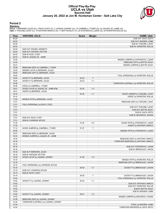### **Official Play-By-Play UCLA vs Utah Second Half January 20, 2022 at Jon M. Huntsman Center - Salt Lake City**



#### **Period 2**

<mark>Starters:</mark><br>UCLA: 1 BERNARD,JULES (G); 2 RILEY,CODY (F); 3 JUZANG,JOHNNY (G); 10 CAMPBELL,TYGER (G); 24 JAQUEZ JR.,JAIME (G);<br>Utah: 0 THIOUNE,LAHAT (C); 10 ANTHONY,MARCO (G); 11 BATTIN,RILEY (F); 20 STEFANOVIC,LAZAR (G); 2

| Time  | <b>VISITORS: UCLA</b>                 | <b>Score</b> | <b>Margin</b>  | <b>HOME: Utah</b>                                                  |
|-------|---------------------------------------|--------------|----------------|--------------------------------------------------------------------|
| 20:00 |                                       |              |                | SUB OUT: GACH, BOTH                                                |
| 20:00 |                                       |              |                | SUB OUT: MADSEN, GABE                                              |
| 20:00 |                                       |              |                | SUB IN: THIOUNE, LAHAT                                             |
| 20:00 |                                       |              |                | SUB IN: WORSTER, ROLLIE                                            |
| 20:00 | SUB OUT: NWUBA, KENNETH               |              |                |                                                                    |
| 20:00 | SUB OUT: WATSON, PEYTON               |              |                |                                                                    |
| 20:00 | SUB IN: RILEY, CODY                   |              |                |                                                                    |
| 20:00 | SUB IN: JAQUEZ JR., JAIME             |              |                |                                                                    |
| 19:35 |                                       |              |                | MISSED JUMPER by STEFANOVIC, LAZAR                                 |
| 19:32 |                                       |              |                | REBOUND (OFF) by BATTIN, RILEY                                     |
| 19:31 |                                       |              |                | MISSED JUMPER by BATTIN, RILEY                                     |
| 19:28 | REBOUND (DEF) by CAMPBELL, TYGER      |              |                |                                                                    |
| 19:05 | MISSED LAYUP by BERNARD, JULES        |              |                |                                                                    |
|       |                                       |              |                |                                                                    |
| 19:04 | REBOUND (OFF) by BERNARD, JULES       |              |                |                                                                    |
| 19:04 |                                       |              |                | FOUL (PERSONAL) by WORSTER, ROLLIE                                 |
| 19:04 | GOOD! FT by BERNARD, JULES            | 32-32        | T              |                                                                    |
| 19:04 | GOOD! FT by BERNARD, JULES            | 32-33        | V <sub>1</sub> |                                                                    |
| 18:46 |                                       |              |                | TURNOVER (LOSTBALL) by WORSTER, ROLLIE                             |
| 18:46 | STEAL by CAMPBELL, TYGER              |              |                |                                                                    |
| 18:41 | GOOD! LAYUP by JAQUEZ JR., JAIME [FB] | 32-35        | $V_3$          |                                                                    |
| 18:41 | ASSIST by BERNARD, JULES              |              |                |                                                                    |
| 18:15 |                                       | 34-35        | V <sub>1</sub> | GOOD! JUMPER by THIOUNE, LAHAT                                     |
| 18:15 |                                       |              |                | ASSIST by WORSTER, ROLLIE                                          |
| 17:53 | MISSED 3PTR by BERNARD, JULES         |              |                |                                                                    |
| 17:51 |                                       |              |                | REBOUND (DEF) by THIOUNE, LAHAT                                    |
| 17:51 | FOUL (PERSONAL) by RILEY, CODY        |              |                |                                                                    |
| 17:51 |                                       |              |                | SUB OUT: THIOUNE, LAHAT                                            |
| 17:51 |                                       |              |                | SUB OUT: BATTIN, RILEY                                             |
| 17:51 |                                       |              |                | SUB IN: GACH, BOTH                                                 |
| 17:51 |                                       |              |                | SUB IN: MAHORCIC, DUSAN                                            |
| 17:51 | SUB OUT: RILEY, CODY                  |              |                |                                                                    |
| 17:51 | SUB IN: JOHNSON, MYLES                |              |                |                                                                    |
| 17:32 |                                       | 37-35        | H <sub>2</sub> | GOOD! 3PTR by STEFANOVIC, LAZAR                                    |
| 17:32 |                                       |              |                | ASSIST by ANTHONY, MARCO                                           |
| 17:14 | GOOD! JUMPER by CAMPBELL, TYGER       | 37-37        | T              |                                                                    |
| 16:50 |                                       |              |                | MISSED 3PTR by STEFANOVIC, LAZAR                                   |
| 16:47 | REBOUND (DEF) by BERNARD, JULES       |              |                |                                                                    |
| 16:33 | MISSED JUMPER by JAQUEZ JR., JAIME    |              |                |                                                                    |
| 16:30 |                                       |              |                | REBOUND (DEF) by ANTHONY, MARCO                                    |
| 16:18 |                                       |              |                | TURNOVER (BADPASS) by ANTHONY, MARCO                               |
| 16:18 |                                       |              |                |                                                                    |
| 16:18 |                                       |              |                | SUB OUT: STEFANOVIC, LAZAR                                         |
| 16:18 |                                       |              |                | SUB IN: BRENCHLEY, JAXON                                           |
| 16:18 | SUB OUT: BERNARD, JULES               |              |                |                                                                    |
| 16:18 | SUB IN: WATSON, PEYTON                |              |                |                                                                    |
| 15:50 | GOOD! LAYUP by JUZANG, JOHNNY         | 37-39        | V <sub>2</sub> |                                                                    |
| 15:19 |                                       |              |                | MISSED 3PTR by WORSTER, ROLLIE                                     |
| 15:16 |                                       |              |                | REBOUND (OFF) by BRENCHLEY, JAXON                                  |
| 15:15 | FOUL (PERSONAL) by JOHNSON, MYLES     |              |                |                                                                    |
| 15:15 |                                       | 38-39        | V <sub>1</sub> | GOOD! FT by BRENCHLEY, JAXON                                       |
| 15:15 | SUB OUT: JOHNSON, MYLES               |              |                |                                                                    |
| 15:15 | SUB IN: RILEY, CODY                   |              |                |                                                                    |
| 15:15 |                                       |              |                |                                                                    |
| 15:02 |                                       | 39-39        | Т              | GOOD! FT by BRENCHLEY, JAXON<br>FOUL (PERSONAL) by WORSTER, ROLLIE |
|       |                                       |              |                |                                                                    |
| 15:02 | GOOD! FT by JUZANG, JOHNNY            | 39-40        | V <sub>1</sub> |                                                                    |
| 15:02 |                                       |              |                | SUB OUT: ANTHONY, MARCO                                            |
| 15:02 |                                       |              |                | SUB OUT: WORSTER, ROLLIE                                           |
| 15:02 |                                       |              |                | SUB IN: BATTIN, RILEY                                              |
| 15:02 |                                       |              |                | SUB IN: MADSEN, GABE                                               |
| 15:02 | GOOD! FT by JUZANG, JOHNNY            | 39-41        | V <sub>2</sub> |                                                                    |
| 14:42 |                                       |              |                | MISSED JUMPER by MAHORCIC, DUSAN                                   |
| 14:39 | REBOUND (DEF) by JUZANG, JOHNNY       |              |                |                                                                    |
| 14:34 | TURNOVER (LOSTBALL) by JUZANG, JOHNNY |              |                |                                                                    |
| 14:34 |                                       |              |                | STEAL by MADSEN, GABE                                              |
| 14:24 |                                       |              |                | TURNOVER (BADPASS) by GACH, BOTH                                   |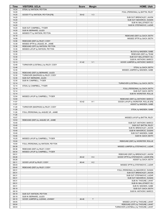| <b>Time</b>    | <b>VISITORS: UCLA</b>                                             | <b>Score</b> | <b>Margin</b>  | <b>HOME: Utah</b>                                   |
|----------------|-------------------------------------------------------------------|--------------|----------------|-----------------------------------------------------|
| 14:24          | STEAL by WATSON, PEYTON                                           |              |                |                                                     |
| 14:20          |                                                                   |              | V <sub>3</sub> | FOUL (PERSONAL) by BATTIN, RILEY                    |
| 14:20<br>14:20 | GOOD! FT by WATSON, PEYTON [FB]                                   | 39-42        |                | SUB OUT: BRENCHLEY, JAXON                           |
| 14:20          |                                                                   |              |                | SUB OUT: MAHORCIC, DUSAN                            |
| 14:20          |                                                                   |              |                | SUB IN: BALLSTAEDT, ELI                             |
| 14:20          |                                                                   |              |                | SUB IN: STEFANOVIC, LAZAR                           |
| 14:20          | SUB OUT: CAMPBELL, TYGER                                          |              |                |                                                     |
| 14:20<br>14:20 | SUB IN: BERNARD, JULES<br>MISSED FT by WATSON, PEYTON             |              |                |                                                     |
| 14:19          |                                                                   |              |                | REBOUND (DEF) by GACH, BOTH                         |
| 14:08          |                                                                   |              |                | MISSED 3PTR by GACH, BOTH                           |
| 14:06          | REBOUND (DEF) by RILEY, CODY                                      |              |                |                                                     |
| 13:39          | MISSED 3PTR by JAQUEZ JR., JAIME                                  |              |                |                                                     |
| 13:36<br>13:35 | REBOUND (OFF) by WATSON, PEYTON<br>MISSED LAYUP by WATSON, PEYTON |              |                |                                                     |
| 13:35          |                                                                   |              |                | BLOCK by MADSEN, GABE                               |
| 13:30          |                                                                   |              |                | REBOUND (DEF) by TEAM                               |
| 13:30          |                                                                   |              |                | SUB OUT: BALLSTAEDT, ELI                            |
| 13:30          |                                                                   |              |                | SUB IN: ANTHONY, MARCO                              |
| 13:13<br>12:48 |                                                                   | 41-42        | V <sub>1</sub> | GOOD! JUMPER by ANTHONY, MARCO                      |
| 12:48          | TURNOVER (LOSTBALL) by RILEY, CODY                                |              |                | STEAL by GACH, BOTH                                 |
| 12:35          |                                                                   |              |                | MISSED JUMPER by MADSEN, GABE                       |
| 12:32          | REBOUND (DEF) by BERNARD, JULES                                   |              |                |                                                     |
| 12:30          | TURNOVER (BADPASS) by RILEY, CODY                                 |              |                |                                                     |
| 12:30          | SUB OUT: BERNARD, JULES                                           |              |                |                                                     |
| 12:30<br>12:14 | SUB IN: CAMPBELL, TYGER                                           |              |                | TURNOVER (LOSTBALL) by GACH, BOTH                   |
| 12:14          | STEAL by CAMPBELL, TYGER                                          |              |                |                                                     |
| 12:14          |                                                                   |              |                | FOUL (PERSONAL) by GACH, BOTH                       |
| 12:14          |                                                                   |              |                | SUB OUT: GACH, BOTH                                 |
| 12:14          |                                                                   |              |                | SUB IN: WORSTER, ROLLIE                             |
| 12:04<br>12:00 | MISSED LAYUP by CAMPBELL, TYGER                                   |              |                | REBOUND (DEF) by ANTHONY, MARCO                     |
| 11:57          |                                                                   | 43-42        | H <sub>1</sub> | GOOD! LAYUP by WORSTER, ROLLIE [FB]                 |
| 11:57          |                                                                   |              |                | ASSIST by MADSEN, GABE                              |
| 11:28          | TURNOVER (BADPASS) by RILEY, CODY                                 |              |                |                                                     |
| 11:28          |                                                                   |              |                | STEAL by MADSEN, GABE                               |
| 11:26<br>11:26 | FOUL (PERSONAL) by JAQUEZ JR., JAIME                              |              |                |                                                     |
| 10:57          |                                                                   |              |                | MISSED LAYUP by BATTIN, RILEY                       |
| 10:53          | REBOUND (DEF) by JAQUEZ JR., JAIME                                |              |                |                                                     |
| 10:40          |                                                                   |              |                | SUB OUT: ANTHONY, MARCO                             |
| 10:40          |                                                                   |              |                | SUB OUT: BATTIN, RILEY                              |
| 10:40<br>10:40 |                                                                   |              |                | SUB IN: BRENCHLEY, JAXON<br>SUB IN: MAHORCIC, DUSAN |
| 10:40          |                                                                   |              |                | SUB OUT: MADSEN, GABE                               |
| 10:40          |                                                                   |              |                | SUB IN: GACH, BOTH                                  |
| 10:25          | MISSED LAYUP by CAMPBELL, TYGER                                   |              |                |                                                     |
| 10:24          |                                                                   |              |                | REBOUND (DEF) by WORSTER, ROLLIE                    |
| 10:00<br>09:39 | FOUL (PERSONAL) by WATSON, PEYTON                                 |              |                | MISSED JUMPER by STEFANOVIC, LAZAR                  |
| 09:36          | REBOUND (DEF) by RILEY, CODY                                      |              |                |                                                     |
| 09:34          | MISSED LAYUP by CAMPBELL, TYGER                                   |              |                |                                                     |
| 09:31          |                                                                   |              |                | REBOUND (DEF) by BRENCHLEY, JAXON                   |
| 09:26          |                                                                   | 46-42        | H4             | GOOD! 3PTR by STEFANOVIC, LAZAR [FB]                |
| 09:26<br>09:11 | GOOD! LAYUP by RILEY, CODY                                        | 46-44        | H <sub>2</sub> | ASSIST by GACH, BOTH                                |
| 08:43          |                                                                   |              |                | MISSED 3PTR by STEFANOVIC, LAZAR                    |
| 08:40          | REBOUND (DEF) by RILEY, CODY                                      |              |                |                                                     |
| 08:31          |                                                                   |              |                | FOUL (PERSONAL) by MAHORCIC, DUSAN                  |
| 08:31          |                                                                   |              |                | SUB OUT: BRENCHLEY, JAXON                           |
| 08:31          |                                                                   |              |                | SUB OUT: STEFANOVIC, LAZAR                          |
| 08:31<br>08:31 |                                                                   |              |                | SUB OUT: MAHORCIC, DUSAN<br>SUB IN: THIOUNE, LAHAT  |
| 08:31          |                                                                   |              |                | SUB IN: BALLSTAEDT, ELI                             |
| 08:31          |                                                                   |              |                | SUB IN: MADSEN, GABE                                |
| 08:19          |                                                                   |              |                | SUB OUT: GACH, BOTH                                 |
| 08:19<br>08:19 |                                                                   |              |                | SUB IN: ANTHONY, MARCO                              |
| 08:19          | SUB OUT: WATSON, PEYTON<br>SUB IN: BERNARD, JULES                 |              |                |                                                     |
| 08:15          | GOOD! JUMPER by JUZANG, JOHNNY                                    | 46-46        | $\top$         |                                                     |
| 08:05          |                                                                   |              |                | MISSED LAYUP by THIOUNE, LAHAT                      |
| 08:04          |                                                                   |              |                | REBOUND (OFF) by THIOUNE, LAHAT                     |
| 08:03          |                                                                   |              |                | TURNOVER (LOSTBALL) by THIOUNE, LAHAT               |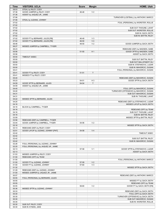| <b>Time</b>    | <b>VISITORS: UCLA</b>                                               | <b>Score</b> | <b>Margin</b>  | <b>HOME: Utah</b>                                       |
|----------------|---------------------------------------------------------------------|--------------|----------------|---------------------------------------------------------|
| 08:03          | STEAL by RILEY, CODY                                                |              |                |                                                         |
| 07:36          | GOOD! JUMPER by RILEY, CODY                                         | 46-48        | V <sub>2</sub> |                                                         |
| 07:36          | ASSIST by JAQUEZ JR., JAIME                                         |              |                |                                                         |
| 07:06          |                                                                     |              |                | TURNOVER (LOSTBALL) by ANTHONY, MARCO                   |
| 07:06          | STEAL by JUZANG, JOHNNY                                             |              |                |                                                         |
| 07:02          |                                                                     |              |                | FOUL (PERSONAL) by WORSTER, ROLLIE                      |
| 07:02          |                                                                     |              |                |                                                         |
| 07:02          |                                                                     |              |                | SUB OUT: THIOUNE, LAHAT                                 |
| 07:02<br>07:02 |                                                                     |              |                | SUB OUT: WORSTER, ROLLIE<br>SUB IN: GACH, BOTH          |
| 07:02          |                                                                     |              |                | SUB IN: BATTIN, RILEY                                   |
| 07:02          | GOOD! FT by BERNARD, JULES [FB]                                     | 46-49        | $V_3$          |                                                         |
| 07:02          | GOOD! FT by BERNARD, JULES [FB]                                     | 46-50        | V <sub>4</sub> |                                                         |
| 06:46          |                                                                     | 48-50        | V <sub>2</sub> | GOOD! JUMPER by GACH, BOTH                              |
| 06:27          | MISSED JUMPER by CAMPBELL, TYGER                                    |              |                |                                                         |
| 06:23          |                                                                     |              |                | REBOUND (DEF) by MADSEN, GABE                           |
| 05:56          |                                                                     | 51-50        | H <sub>1</sub> | GOOD! 3PTR by MADSEN, GABE                              |
| 05:56          |                                                                     |              |                | ASSIST by GACH, BOTH                                    |
| 05:50          | TIMEOUT 30SEC                                                       |              |                |                                                         |
| 05:50          |                                                                     |              |                | SUB OUT: BATTIN, RILEY                                  |
| 05:50          |                                                                     |              |                | SUB OUT: BALLSTAEDT, ELI                                |
| 05:50          |                                                                     |              |                | SUB IN: STEFANOVIC, LAZAR                               |
| 05:50          |                                                                     |              |                | SUB IN: MAHORCIC, DUSAN                                 |
| 05:41          |                                                                     |              |                | FOUL (PERSONAL) by MAHORCIC, DUSAN                      |
| 05:41          | GOOD! FT by RILEY, CODY                                             | 51-51        | $\mathsf T$    |                                                         |
| 05:41          | MISSED FT by RILEY, CODY                                            |              |                |                                                         |
| 05:40          |                                                                     |              |                | REBOUND (DEF) by MAHORCIC, DUSAN                        |
| 05:23          |                                                                     | 54-51        | $H_3$          | GOOD! 3PTR by GACH, BOTH                                |
| 04:59<br>04:59 | GOOD! 3PTR by BERNARD, JULES                                        | 54-54        | T              |                                                         |
| 04:40          | ASSIST by JAQUEZ JR., JAIME                                         |              |                | FOUL (OFF) by MAHORCIC, DUSAN                           |
| 04:40          |                                                                     |              |                | TURNOVER (OFFENSIVE) by MAHORCIC, DUSAN                 |
| 04:31          |                                                                     |              |                | SUB OUT: MAHORCIC, DUSAN                                |
| 04:31          |                                                                     |              |                | SUB IN: THIOUNE, LAHAT                                  |
| 04:22          | MISSED 3PTR by BERNARD, JULES                                       |              |                |                                                         |
| 04:20          |                                                                     |              |                | REBOUND (DEF) by STEFANOVIC, LAZAR                      |
| 04:16          |                                                                     |              |                | MISSED LAYUP by GACH, BOTH                              |
| 04:16          | BLOCK by CAMPBELL, TYGER                                            |              |                |                                                         |
| 04:16          |                                                                     |              |                | REBOUND (OFF) by TEAM                                   |
| 04:16          |                                                                     |              |                | SUB OUT: THIOUNE, LAHAT                                 |
| 04:16          |                                                                     |              |                | SUB IN: BATTIN, RILEY                                   |
| 03:59          |                                                                     |              |                | MISSED 3PTR by BATTIN, RILEY                            |
| 03:56          | REBOUND (DEF) by CAMPBELL, TYGER                                    |              |                |                                                         |
| 03:44          | GOOD! JUMPER by CAMPBELL, TYGER                                     | 54-56        | V <sub>2</sub> |                                                         |
| 03:16          |                                                                     |              |                | MISSED 3PTR by GACH, BOTH                               |
| 03:13          | REBOUND (DEF) by RILEY, CODY<br>GOOD! LAYUP by JUZANG. JOHNNY IPNTI |              |                |                                                         |
| 02:51          |                                                                     | 54-58        | V <sub>4</sub> |                                                         |
| 02:42<br>02:42 |                                                                     |              |                | TIMEOUT 30SEC                                           |
| 02:42          |                                                                     |              |                | SUB OUT: BATTIN, RILEY                                  |
| 02:42          |                                                                     |              |                | SUB IN: MAHORCIC, DUSAN                                 |
| 02:26          | FOUL (PERSONAL) by JUZANG, JOHNNY                                   |              |                |                                                         |
| 02:25          | FOUL (PERSONAL) by JAQUEZ JR., JAIME                                |              |                |                                                         |
| 02:13          |                                                                     | 57-58        | V <sub>1</sub> | GOOD! 3PTR by STEFANOVIC, LAZAR                         |
| 02:13          |                                                                     |              |                | ASSIST by GACH, BOTH                                    |
| 01:53          | MISSED JUMPER by RILEY, CODY                                        |              |                |                                                         |
| 01:50          | REBOUND (OFF) by TEAM                                               |              |                |                                                         |
| 01:50          |                                                                     |              |                | FOUL (PERSONAL) by ANTHONY, MARCO                       |
| 01:50          | GOOD! FT by JUZANG, JOHNNY                                          | 57-59        | V <sub>2</sub> |                                                         |
| 01:50          | GOOD! FT by JUZANG, JOHNNY                                          | 57-60        | $V_3$          |                                                         |
| 01:32          |                                                                     |              |                | MISSED 3PTR by GACH, BOTH                               |
| 01:29          | REBOUND (DEF) by JUZANG, JOHNNY                                     |              |                |                                                         |
| 01:00          | MISSED JUMPER by JAQUEZ JR., JAIME                                  |              |                |                                                         |
| 00:57          |                                                                     |              |                | REBOUND (DEF) by ANTHONY, MARCO                         |
| 00:55          | FOUL (PERSONAL) by BERNARD, JULES                                   |              |                |                                                         |
| 00:55          |                                                                     |              |                | MISSED FT by GACH, BOTH                                 |
| 00:55          |                                                                     |              |                | REBOUND (OFF) by TEAM                                   |
| 00:55          |                                                                     | 58-60        | V <sub>2</sub> | GOOD! FT by GACH, BOTH [FB]                             |
| 00:36          | MISSED 3PTR by JUZANG, JOHNNY                                       |              |                |                                                         |
| 00:33          |                                                                     |              |                | REBOUND (DEF) by GACH, BOTH<br>FOUL (OFF) by GACH, BOTH |
| 00:30<br>00:30 |                                                                     |              |                | TURNOVER (OFFENSIVE) by GACH, BOTH                      |
| 00:30          |                                                                     |              |                | SUB OUT: MAHORCIC, DUSAN                                |
| 00:30          |                                                                     |              |                | SUB IN: WORSTER, ROLLIE                                 |
| 00:30          | SUB OUT: RILEY, CODY                                                |              |                |                                                         |
| 00:30          | SUB IN: KYMAN, JAKE                                                 |              |                |                                                         |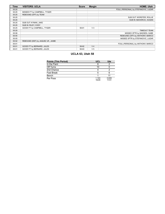| <b>Time</b> | <b>VISITORS: UCLA</b>              | <b>Score</b> | <b>Margin</b>  | <b>HOME: Utah</b>                    |
|-------------|------------------------------------|--------------|----------------|--------------------------------------|
| 00:25       |                                    |              |                | FOUL (PERSONAL) by STEFANOVIC, LAZAR |
| 00:25       | MISSED FT by CAMPBELL, TYGER       |              |                |                                      |
| 00:25       | REBOUND (OFF) by TEAM              |              |                |                                      |
| 00:25       |                                    |              |                | SUB OUT: WORSTER, ROLLIE             |
| 00:25       |                                    |              |                | SUB IN: MAHORCIC, DUSAN              |
| 00:25       | SUB OUT: KYMAN, JAKE               |              |                |                                      |
| 00:25       | SUB IN: RILEY, CODY                |              |                |                                      |
| 00:25       | GOOD! FT by CAMPBELL, TYGER        | 58-61        | $V_3$          |                                      |
| 00:20       |                                    |              |                | <b>TIMEOUT TEAM</b>                  |
| 00:08       |                                    |              |                | MISSED 3PTR by MADSEN, GABE          |
| 00:05       |                                    |              |                | REBOUND (OFF) by ANTHONY, MARCO      |
| 00:05       |                                    |              |                | MISSED 3PTR by STEFANOVIC, LAZAR     |
| 00:02       | REBOUND (DEF) by JAQUEZ JR., JAIME |              |                |                                      |
| 00:01       |                                    |              |                | FOUL (PERSONAL) by ANTHONY, MARCO    |
| 00:01       | GOOD! FT by BERNARD, JULES         | 58-62        | V <sub>4</sub> |                                      |
| 00:01       | GOOD! FT by BERNARD, JULES         | 58-63        | V <sub>5</sub> |                                      |

# **UCLA 63, Utah 58**

| <b>Points (This Period)</b> | <b>UCL</b>     | Ute            |
|-----------------------------|----------------|----------------|
| In the Paint                |                |                |
| Off Turns                   | 10             |                |
| 2nd Chance                  |                |                |
| Fast Break                  | 5              |                |
| Bench                       |                |                |
| Per Poss                    | 1.103<br>16/29 | 0.839<br>11/31 |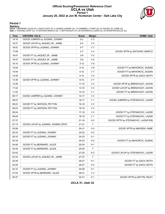### **Official Scoring/Possession Reference Chart UCLA vs Utah Period 1 January 20, 2022 at Jon M. Huntsman Center - Salt Lake City**



#### **Period 1**

<mark>Starters:</mark><br>UCLA: 1 BERNARD,JULES (G); 2 RILEY,CODY (F); 3 JUZANG,JOHNNY (G); 10 CAMPBELL,TYGER (G); 24 JAQUEZ JR.,JAIME (G);<br>Utah: 0 THIOUNE,LAHAT (C); 10 ANTHONY,MARCO (G); 11 BATTIN,RILEY (F); 20 STEFANOVIC,LAZAR (G); 2

| <b>Time</b> | <b>VISITORS: UCLA</b>               | <b>Score</b> | <b>Margin</b>  | <b>HOME: Utah</b>                    |
|-------------|-------------------------------------|--------------|----------------|--------------------------------------|
| 19:16       | GOOD! JUMPER by JUZANG, JOHNNY      | $0 - 2$      | V <sub>2</sub> |                                      |
| 18:37       | GOOD! LAYUP by JAQUEZ JR., JAIME    | $0 - 4$      | V <sub>4</sub> |                                      |
| 18:02       | GOOD! 3PTR by JUZANG, JOHNNY        | $0 - 7$      | V <sub>7</sub> |                                      |
| 17:09       |                                     | $3 - 7$      | V <sub>4</sub> | GOOD! 3PTR by ANTHONY, MARCO         |
| 16:47       | GOOD! FT by JAQUEZ JR., JAIME       | $3-8$        | V <sub>5</sub> |                                      |
| 16:47       | GOOD! FT by JAQUEZ JR., JAIME       | $3-9$        | $V_6$          |                                      |
| 16:10       | GOOD! 3PTR by JUZANG, JOHNNY        | $3 - 12$     | V <sub>9</sub> |                                      |
| 15:44       |                                     | $4 - 12$     | V8             | GOOD! FT by MAHORCIC, DUSAN          |
| 15:44       |                                     | $5 - 12$     | V <sub>7</sub> | GOOD! FT by MAHORCIC, DUSAN          |
| 14:35       |                                     | $8 - 12$     | V <sub>4</sub> | GOOD! 3PTR by GACH, BOTH             |
| 13:39       | GOOD! 3PTR by JUZANG, JOHNNY        | $8 - 15$     | V <sub>7</sub> |                                      |
| 12:28       |                                     | $11 - 15$    | V <sub>4</sub> | GOOD! 3PTR by BRENCHLEY, JAXON       |
| 11:42       |                                     | $13 - 15$    | V <sub>2</sub> | GOOD! LAYUP by BRENCHLEY, JAXON      |
| 11:42       |                                     | 14-15        | V <sub>1</sub> | GOOD! FT by BRENCHLEY, JAXON         |
| 09:17       | GOOD! JUMPER by JUZANG, JOHNNY      | $14 - 17$    | $V_3$          |                                      |
| 08:47       |                                     | 16-17        | V <sub>1</sub> | GOOD! JUMPER by STEFANOVIC, LAZAR    |
| 08:23       | GOOD! FT by WATSON, PEYTON          | $16 - 18$    | V <sub>2</sub> |                                      |
| 08:23       | GOOD! FT by WATSON, PEYTON          | 16-19        | $V_3$          |                                      |
| 08:04       |                                     | $17-19$      | V <sub>2</sub> | GOOD! FT by STEFANOVIC, LAZAR        |
| 08:04       |                                     | 18-19        | V <sub>1</sub> | GOOD! FT by STEFANOVIC, LAZAR        |
| 07:37       |                                     | $21 - 19$    | H <sub>2</sub> | GOOD! 3PTR by STEFANOVIC, LAZAR [FB] |
| 07:13       | GOOD! LAYUP by JUZANG, JOHNNY [PNT] | $21 - 21$    | $\mathsf{T}$   |                                      |
| 05:58       |                                     | 24-21        | $H_3$          | GOOD! 3PTR by MADSEN, GABE           |
| 05:33       | GOOD! FT by JUZANG, JOHNNY          | 24-22        | H <sub>2</sub> |                                      |
| 05:33       | GOOD! FT by JUZANG, JOHNNY          | 24-23        | H <sub>1</sub> |                                      |
| 05:16       |                                     | 25-23        | H <sub>2</sub> | GOOD! FT by MAHORCIC, DUSAN          |
| 04:49       | GOOD! FT by BERNARD, JULES          | 25-24        | H <sub>1</sub> |                                      |
| 04:49       | GOOD! FT by BERNARD, JULES          | 25-25        | Τ              |                                      |
| 03:52       |                                     | 27-25        | H <sub>2</sub> | GOOD! LAYUP by STEFANOVIC, LAZAR     |
| 03:33       | GOOD! LAYUP by JAQUEZ JR., JAIME    | 27-27        | $\mathsf T$    |                                      |
| 02:29       |                                     | 28-27        | H <sub>1</sub> | GOOD! FT by GACH, BOTH               |
| 02:29       |                                     | 29-27        | H <sub>2</sub> | GOOD! FT by GACH, BOTH               |
| 02:10       | GOOD! FT by JUZANG, JOHNNY          | 29-28        | H <sub>1</sub> |                                      |
| 01:03       | GOOD! 3PTR by BERNARD, JULES        | 29-31        | V <sub>2</sub> |                                      |
| 00:37       |                                     | 32-31        | H <sub>1</sub> | GOOD! 3PTR by BATTIN, RILEY          |

**UCLA 31, Utah 32**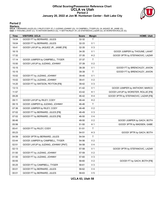### **Official Scoring/Possession Reference Chart UCLA vs Utah Period 2 January 20, 2022 at Jon M. Huntsman Center - Salt Lake City**



#### **Period 2**

<mark>Starters:</mark><br>UCLA: 1 BERNARD,JULES (G); 2 RILEY,CODY (F); 3 JUZANG,JOHNNY (G); 10 CAMPBELL,TYGER (G); 24 JAQUEZ JR.,JAIME (G);<br>Utah: 0 THIOUNE,LAHAT (C); 10 ANTHONY,MARCO (G); 11 BATTIN,RILEY (F); 20 STEFANOVIC,LAZAR (G); 2

| <b>Time</b> | <b>VISITORS: UCLA</b>                 | <b>Score</b> | <b>Margin</b>  | <b>HOME: Utah</b>                    |
|-------------|---------------------------------------|--------------|----------------|--------------------------------------|
| 19:04       | GOOD! FT by BERNARD, JULES            | 32-32        | Τ              |                                      |
| 19:04       | GOOD! FT by BERNARD, JULES            | 32-33        | V <sub>1</sub> |                                      |
| 18:41       | GOOD! LAYUP by JAQUEZ JR., JAIME [FB] | 32-35        | $V_3$          |                                      |
| 18:15       |                                       | 34-35        | V <sub>1</sub> | GOOD! JUMPER by THIOUNE, LAHAT       |
| 17:32       |                                       | $37 - 35$    | H <sub>2</sub> | GOOD! 3PTR by STEFANOVIC, LAZAR      |
| 17:14       | GOOD! JUMPER by CAMPBELL, TYGER       | 37-37        | $\mathsf{T}$   |                                      |
| 15:50       | GOOD! LAYUP by JUZANG, JOHNNY         | 37-39        | V <sub>2</sub> |                                      |
| 15:15       |                                       | 38-39        | V <sub>1</sub> | GOOD! FT by BRENCHLEY, JAXON         |
| 15:15       |                                       | 39-39        | Τ              | GOOD! FT by BRENCHLEY, JAXON         |
| 15:02       | GOOD! FT by JUZANG, JOHNNY            | 39-40        | V <sub>1</sub> |                                      |
| 15:02       | GOOD! FT by JUZANG, JOHNNY            | 39-41        | V <sub>2</sub> |                                      |
| 14:20       | GOOD! FT by WATSON, PEYTON [FB]       | 39-42        | $V_3$          |                                      |
| 13:13       |                                       | 41-42        | V <sub>1</sub> | GOOD! JUMPER by ANTHONY, MARCO       |
| 11:57       |                                       | 43-42        | H 1            | GOOD! LAYUP by WORSTER, ROLLIE [FB]  |
| 09:26       |                                       | 46-42        | H 4            | GOOD! 3PTR by STEFANOVIC, LAZAR [FB] |
| 09:11       | GOOD! LAYUP by RILEY, CODY            | 46-44        | H 2            |                                      |
| 08:15       | GOOD! JUMPER by JUZANG, JOHNNY        | 46-46        | T              |                                      |
| 07:36       | GOOD! JUMPER by RILEY, CODY           | 46-48        | V <sub>2</sub> |                                      |
| 07:02       | GOOD! FT by BERNARD, JULES [FB]       | 46-49        | V3             |                                      |
| 07:02       | GOOD! FT by BERNARD, JULES [FB]       | 46-50        | V <sub>4</sub> |                                      |
| 06:46       |                                       | 48-50        | V <sub>2</sub> | GOOD! JUMPER by GACH, BOTH           |
| 05:56       |                                       | 51-50        | H 1            | GOOD! 3PTR by MADSEN, GABE           |
| 05:41       | GOOD! FT by RILEY, CODY               | 51-51        | Τ              |                                      |
| 05:23       |                                       | 54-51        | H <sub>3</sub> | GOOD! 3PTR by GACH, BOTH             |
| 04:59       | GOOD! 3PTR by BERNARD, JULES          | 54-54        | Τ              |                                      |
| 03:44       | GOOD! JUMPER by CAMPBELL, TYGER       | 54-56        | V <sub>2</sub> |                                      |
| 02:51       | GOOD! LAYUP by JUZANG, JOHNNY [PNT]   | 54-58        | V <sub>4</sub> |                                      |
| 02:13       |                                       | 57-58        | V <sub>1</sub> | GOOD! 3PTR by STEFANOVIC, LAZAR      |
| 01:50       | GOOD! FT by JUZANG, JOHNNY            | 57-59        | V <sub>2</sub> |                                      |
| 01:50       | GOOD! FT by JUZANG, JOHNNY            | 57-60        | V3             |                                      |
| 00:55       |                                       | 58-60        | V <sub>2</sub> | GOOD! FT by GACH, BOTH [FB]          |
| 00:25       | GOOD! FT by CAMPBELL, TYGER           | 58-61        | $V_3$          |                                      |
| 00:01       | GOOD! FT by BERNARD, JULES            | 58-62        | V 4            |                                      |
| 00:01       | GOOD! FT by BERNARD, JULES            | 58-63        | V <sub>5</sub> |                                      |

**UCLA 63, Utah 58**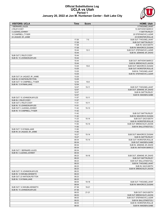#### **Official Substitutions Log UCLA vs Utah Period 1 January 20, 2022 at Jon M. Huntsman Center - Salt Lake City**



| <b>VISITORS: UCLA</b>                                 | <b>Time</b>    | <b>Score</b> | <b>HOME: Utah</b>                                    |
|-------------------------------------------------------|----------------|--------------|------------------------------------------------------|
| 1 BERNARD, JULES                                      |                |              | 0 THIOUNE, LAHAT                                     |
| 2 RILEY, CODY                                         |                |              | 10 ANTHONY, MARCO                                    |
| 3 JUZANG, JOHNNY                                      |                |              | 11 BATTIN, RILEY                                     |
| 10 CAMPBELL, TYGER                                    |                |              | 20 STEFANOVIC, LAZAR                                 |
| 24 JAQUEZ JR., JAIME                                  | 17:26          | $7-0$        | 25 WORSTER, ROLLIE<br>SUB OUT: THIOUNE, LAHAT        |
|                                                       | 17:26          |              | <b>SUB OUT: BATTIN, RILEY</b>                        |
|                                                       | 17:26          |              | SUB IN: GACH, BOTH                                   |
|                                                       | 17:26          |              | SUB IN: MAHORCIC, DUSAN                              |
|                                                       | 15:44          | $12 - 3$     | SUB OUT: STEFANOVIC, LAZAR                           |
|                                                       | 15:44          |              | SUB IN: JENKINS JR., DAVID                           |
| SUB OUT: 2 RILEY, CODY                                | 15:44          |              |                                                      |
| SUB IN: 15 JOHNSON.MYLES                              | 15:44          |              |                                                      |
|                                                       | 15:44          |              | SUB OUT: ANTHONY, MARCO                              |
|                                                       | 15:44          |              | SUB IN: BRENCHLEY, JAXON                             |
|                                                       | 13:25          | $15 - 8$     | SUB OUT: MAHORCIC, DUSAN                             |
|                                                       | 13:25          |              | SUB OUT: WORSTER, ROLLIE                             |
|                                                       | 13:25          |              | SUB IN: THIOUNE, LAHAT                               |
|                                                       | 13:25          |              | SUB IN: STEFANOVIC, LAZAR                            |
| SUB OUT: 24 JAQUEZ JR., JAIME                         | 13:25          |              |                                                      |
| SUB IN: 23 WATSON.PEYTON                              | 13:25          |              |                                                      |
| SUB OUT: 10 CAMPBELL, TYGER<br>SUB IN: 13 KYMAN, JAKE | 12:54<br>12:54 | $15 - 8$     |                                                      |
|                                                       | 12:07          | $15 - 11$    | SUB OUT: THIOUNE, LAHAT                              |
|                                                       | 12:07          |              | SUB OUT: JENKINS JR., DAVID                          |
|                                                       | 12:07          |              | SUB IN: BATTIN, RILEY                                |
|                                                       | 12:07          |              | SUB IN: MADSEN, GABE                                 |
| SUB OUT: 15 JOHNSON, MYLES                            | 11:57          | $15 - 11$    |                                                      |
| SUB IN: 2 RILEY, CODY                                 | 11:57          |              |                                                      |
| SUB OUT: 2 RILEY, CODY                                | 11:51          | $15 - 11$    |                                                      |
| SUB IN: 15 JOHNSON, MYLES                             | 11:51          |              |                                                      |
| SUB OUT: 3 JUZANG, JOHNNY                             | 11:42          | $15 - 13$    |                                                      |
| SUB IN: 10 CAMPBELL, TYGER                            | 11:42          |              |                                                      |
|                                                       | 11:42          |              | SUB OUT: BATTIN, RILEY                               |
|                                                       | 11:42          |              | SUB IN: MAHORCIC, DUSAN                              |
|                                                       | 11:23          | $15 - 14$    | SUB OUT: GACH, BOTH                                  |
|                                                       | 11:23          |              | SUB IN: WORSTER, ROLLIE                              |
|                                                       | 11:00<br>11:00 | $15 - 14$    | SUB OUT: BRENCHLEY, JAXON<br>SUB IN: BALLSTAEDT, ELI |
| SUB OUT: 13 KYMAN, JAKE                               | 11:00          |              |                                                      |
| SUB IN: 24 JAQUEZ JR., JAIME                          | 11:00          |              |                                                      |
|                                                       | 10:27          | $15 - 14$    | SUB OUT: MAHORCIC, DUSAN                             |
|                                                       | 10:27          |              | <b>SUB IN: BATTIN.RILEY</b>                          |
|                                                       | 09:34          | $15 - 14$    | SUB OUT: WORSTER, ROLLIE                             |
|                                                       | 09:34          |              | SUB OUT: MADSEN, GABE                                |
|                                                       | 09:34          |              | SUB IN: JENKINS JR., DAVID                           |
|                                                       | 09:34          |              | SUB IN: ANTHONY, MARCO                               |
| SUB OUT: 1 BERNARD, JULES                             | 09:34          |              |                                                      |
| SUB IN: 3 JUZANG, JOHNNY                              | 09:34          |              |                                                      |
|                                                       | 08:23          | 18-16        | SUB OUT: JENKINS JR., DAVID                          |
|                                                       | 08:23          |              | SUB OUT: BATTIN, RILEY                               |
|                                                       | 08:23          |              | SUB OUT: BALLSTAEDT, ELI                             |
|                                                       | 08:23<br>08:23 |              | SUB IN: THIOUNE, LAHAT                               |
|                                                       | 08:23          |              | SUB IN: GACH, BOTH<br>SUB IN: BRENCHLEY, JAXON       |
| SUB OUT: 15 JOHNSON, MYLES                            | 08:23          |              |                                                      |
| SUB IN: 14 NWUBA, KENNETH                             | 08:23          |              |                                                      |
| SUB OUT: 23 WATSON, PEYTON                            | 08:23          |              |                                                      |
| SUB IN: 13 KYMAN, JAKE                                | 08:23          |              |                                                      |
|                                                       | 08:04          | 19-18        | SUB OUT: THIOUNE, LAHAT                              |
|                                                       | 08:04          |              | SUB IN: MAHORCIC, DUSAN                              |
| SUB OUT: 14 NWUBA, KENNETH                            | 07:36          | 19-21        |                                                      |
| SUB IN: 15 JOHNSON, MYLES                             | 07:36          |              |                                                      |
|                                                       | 06:03          | $21 - 21$    | SUB OUT: GACH, BOTH                                  |
|                                                       | 06:03          |              | SUB OUT: BRENCHLEY, JAXON                            |
|                                                       | 06:03          |              | SUB OUT: STEFANOVIC, LAZAR                           |
|                                                       | 06:03          |              | SUB IN: BALLSTAEDT, ELI                              |
|                                                       | 06:03          |              | SUB IN: WORSTER, ROLLIE                              |
|                                                       | 06:03          |              | SUB IN: MADSEN, GABE                                 |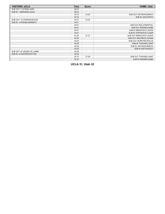| <b>VISITORS: UCLA</b>         | Time  | <b>Score</b> | <b>HOME: Utah</b>            |
|-------------------------------|-------|--------------|------------------------------|
| SUB OUT: 13 KYMAN, JAKE       | 06:03 |              |                              |
| SUB IN: 1 BERNARD, JULES      | 06:03 |              |                              |
|                               | 05:16 | $23 - 25$    | SUB OUT: ANTHONY, MARCO      |
|                               | 05:16 |              | SUB IN: GACH, BOTH           |
| SUB OUT: 15 JOHNSON, MYLES    | 04:51 | $23 - 25$    |                              |
| SUB IN: 14 NWUBA, KENNETH     | 04:51 |              |                              |
|                               | 04:51 |              | SUB OUT: BALLSTAEDT, ELI     |
|                               | 04:51 |              | SUB OUT: MADSEN, GABE        |
|                               | 04:51 |              | SUB IN: BRENCHLEY, JAXON     |
|                               | 04:51 |              | SUB IN: STEFANOVIC, LAZAR    |
|                               | 02:29 | $27 - 27$    | SUB OUT: BRENCHLEY, JAXON    |
|                               | 02:29 |              | SUB OUT: MAHORCIC, DUSAN     |
|                               | 02:29 |              | SUB OUT: WORSTER, ROLLIE     |
|                               | 02:29 |              | SUB IN: THIOUNE, LAHAT       |
|                               | 02:29 |              | SUB IN: ANTHONY, MARCO       |
|                               | 02:29 |              | <b>SUB IN: BATTIN, RILEY</b> |
| SUB OUT: 24 JAQUEZ JR., JAIME | 02:29 |              |                              |
| SUB IN: 23 WATSON PEYTON      | 02:29 |              |                              |
|                               | 02:10 | $27-29$      | SUB OUT: THIOUNE, LAHAT      |
|                               | 02:10 |              | SUB IN: MADSEN, GABE         |

**UCLA 31, Utah 32**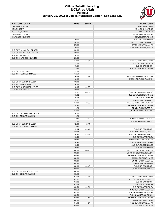

#### **Official Substitutions Log UCLA vs Utah Period 2 January 20, 2022 at Jon M. Huntsman Center - Salt Lake City**

| <b>VISITORS: UCLA</b>                                    | <b>Time</b>    | <b>Score</b>             | <b>HOME: Utah</b>                                   |
|----------------------------------------------------------|----------------|--------------------------|-----------------------------------------------------|
| 1 BERNARD, JULES                                         |                |                          | 0 THIOUNE, LAHAT                                    |
| 2 RILEY, CODY                                            |                |                          | 10 ANTHONY, MARCO                                   |
| 3 JUZANG, JOHNNY                                         |                |                          | 11 BATTIN, RILEY                                    |
| 10 CAMPBELL, TYGER                                       |                |                          | 20 STEFANOVIC, LAZAR                                |
| 24 JAQUEZ JR., JAIME                                     |                |                          | 25 WORSTER, ROLLIE                                  |
|                                                          | 20:00          | $\overline{\phantom{a}}$ | SUB OUT: GACH, BOTH                                 |
|                                                          | 20:00          |                          | SUB OUT: MADSEN, GABE                               |
|                                                          | 20:00          |                          | SUB IN: THIOUNE, LAHAT                              |
|                                                          | 20:00          |                          | SUB IN: WORSTER, ROLLIE                             |
| SUB OUT: 14 NWUBA, KENNETH<br>SUB OUT: 23 WATSON, PEYTON | 20:00<br>20:00 |                          |                                                     |
| SUB IN: 2 RILEY.CODY                                     | 20:00          |                          |                                                     |
| SUB IN: 24 JAQUEZ JR., JAIME                             | 20:00          |                          |                                                     |
|                                                          | 17:51          | 35-34                    | SUB OUT: THIOUNE, LAHAT                             |
|                                                          | 17:51          |                          | SUB OUT: BATTIN, RILEY                              |
|                                                          | 17:51          |                          | SUB IN: GACH, BOTH                                  |
|                                                          | 17:51          |                          | SUB IN: MAHORCIC, DUSAN                             |
| SUB OUT: 2 RILEY, CODY                                   | 17:51          |                          |                                                     |
| SUB IN: 15 JOHNSON, MYLES                                | 17:51          |                          |                                                     |
|                                                          | 16:18          | 37-37                    | SUB OUT: STEFANOVIC, LAZAR                          |
|                                                          | 16:18          |                          | SUB IN: BRENCHLEY, JAXON                            |
| SUB OUT: 1 BERNARD, JULES                                | 16:18          |                          |                                                     |
| SUB IN: 23 WATSON.PEYTON                                 | 16:18          |                          |                                                     |
| SUB OUT: 15 JOHNSON, MYLES                               | 15:15          | 39-38                    |                                                     |
| SUB IN: 2 RILEY, CODY                                    | 15:15          |                          |                                                     |
|                                                          | 15:02          | 40-39                    | SUB OUT: ANTHONY, MARCO                             |
|                                                          | 15:02          |                          | SUB OUT: WORSTER, ROLLIE                            |
|                                                          | 15:02          |                          | SUB IN: BATTIN, RILEY                               |
|                                                          | 15:02          |                          | SUB IN: MADSEN, GABE                                |
|                                                          | 14:20          | 42-39                    | SUB OUT: BRENCHLEY, JAXON                           |
|                                                          | 14:20          |                          | SUB OUT: MAHORCIC, DUSAN                            |
|                                                          | 14:20          |                          | SUB IN: BALLSTAEDT,ELI                              |
|                                                          | 14:20          |                          | SUB IN: STEFANOVIC, LAZAR                           |
| SUB OUT: 10 CAMPBELL, TYGER<br>SUB IN: 1 BERNARD, JULES  | 14:20<br>14:20 |                          |                                                     |
|                                                          | 13:30          | 42-39                    | SUB OUT: BALLSTAEDT, ELI                            |
|                                                          | 13:30          |                          | SUB IN: ANTHONY, MARCO                              |
| SUB OUT: 1 BERNARD, JULES                                | 12:30          | 42-41                    |                                                     |
| SUB IN: 10 CAMPBELL.TYGER                                | 12:30          |                          |                                                     |
|                                                          | 12:14          | 42-41                    | SUB OUT: GACH, BOTH                                 |
|                                                          | 12:14          |                          | SUB IN: WORSTER, ROLLIE                             |
|                                                          | 10:40          | 42-43                    | SUB OUT: ANTHONY, MARCO                             |
|                                                          | 10:40          |                          | SUB OUT: BATTIN, RILEY                              |
|                                                          | 10:40          |                          | SUB IN: BRENCHLEY, JAXON                            |
|                                                          | 10:40          |                          | SUB IN: MAHORCIC, DUSAN                             |
|                                                          | 10:40          |                          | SUB OUT: MADSEN, GABE                               |
|                                                          | 10:40          |                          | SUB IN: GACH, BOTH                                  |
|                                                          | 08:31          | 44-46                    | SUB OUT: BRENCHLEY, JAXON                           |
|                                                          | 08:31          |                          | SUB OUT: STEFANOVIC, LAZAR                          |
|                                                          | 08:31          |                          | SUB OUT: MAHORCIC, DUSAN                            |
|                                                          | 08:31          |                          | SUB IN: THIOUNE, LAHAT                              |
|                                                          | 08:31          |                          | SUB IN: BALLSTAEDT,ELI                              |
|                                                          | 08:31          |                          | SUB IN: MADSEN, GABE                                |
|                                                          | 08:19          | 44-46                    | SUB OUT: GACH, BOTH                                 |
|                                                          | 08:19          |                          | SUB IN: ANTHONY, MARCO                              |
| SUB OUT: 23 WATSON, PEYTON                               | 08:19          |                          |                                                     |
| SUB IN: 1 BERNARD, JULES                                 | 08:19          |                          |                                                     |
|                                                          | 07:02<br>07:02 | 48-46                    | SUB OUT: THIOUNE, LAHAT<br>SUB OUT: WORSTER, ROLLIE |
|                                                          | 07:02          |                          | SUB IN: GACH, BOTH                                  |
|                                                          | 07:02          |                          | SUB IN: BATTIN, RILEY                               |
|                                                          | 05:50          | 50-51                    | SUB OUT: BATTIN, RILEY                              |
|                                                          | 05:50          |                          | SUB OUT: BALLSTAEDT, ELI                            |
|                                                          | 05:50          |                          | SUB IN: STEFANOVIC, LAZAR                           |
|                                                          | 05:50          |                          | SUB IN: MAHORCIC, DUSAN                             |
|                                                          | 04:31          | 54-54                    | SUB OUT: MAHORCIC, DUSAN                            |
|                                                          | 04:31          |                          | SUB IN: THIOUNE, LAHAT                              |
|                                                          | 04:16          | 54-54                    | SUB OUT: THIOUNE, LAHAT                             |
|                                                          | 04:16          |                          | SUB IN: BATTIN, RILEY                               |